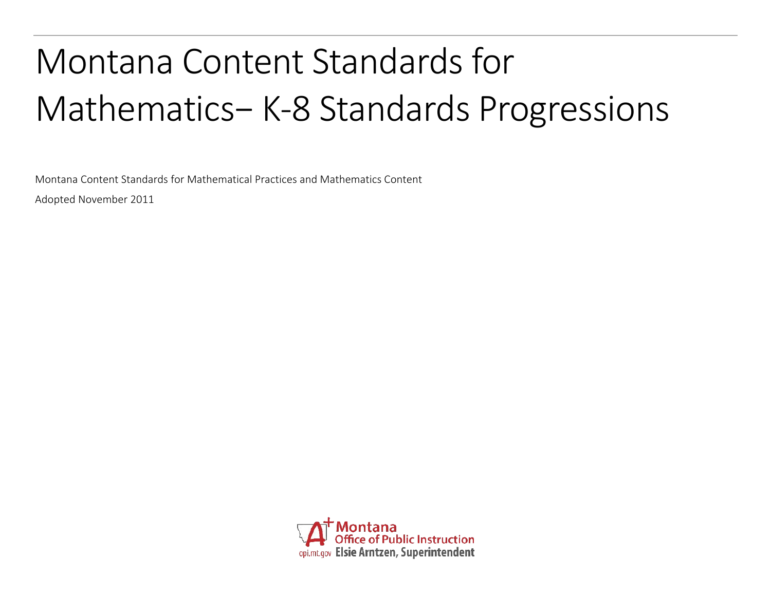# Mathematics− K-8 Standards Progressions Montana Content Standards for

Montana Content Standards for Mathematical Practices and Mathematics Content

Adopted November 2011

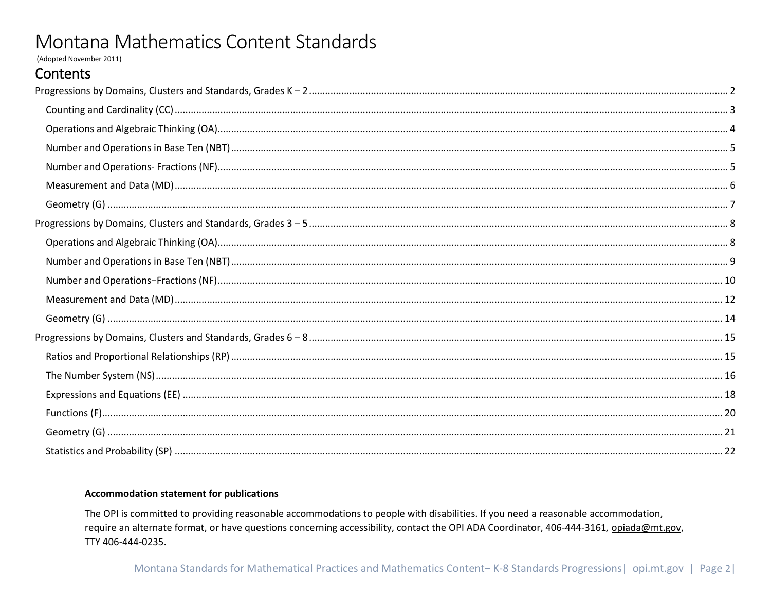<span id="page-1-0"></span>(Adopted November 2011)

#### Contents

#### Accommodation statement for publications

The OPI is committed to providing reasonable accommodations to people with disabilities. If you need a reasonable accommodation, require an alternate format, or have questions concerning accessibility, contact the OPI ADA Coordinator, 406-444-3161, opiada@mt.gov, TTY 406-444-0235.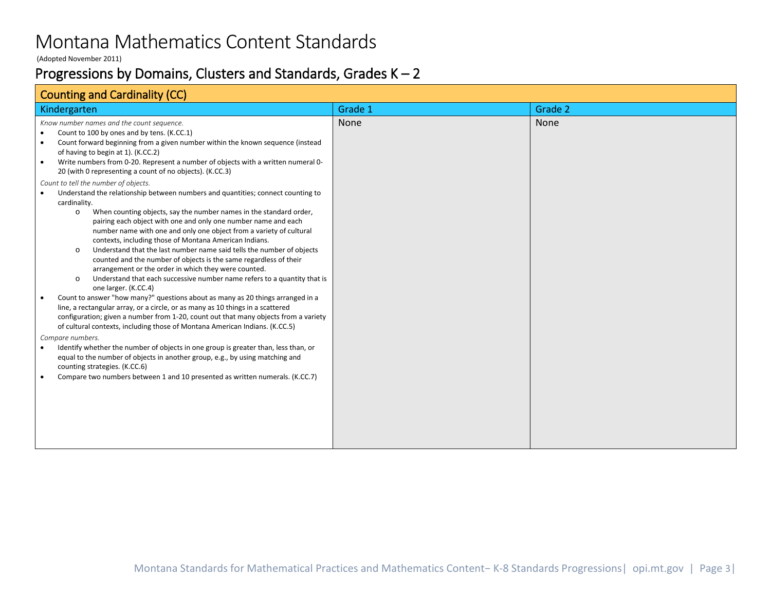(Adopted November 2011)

#### Progressions by Domains, Clusters and Standards, Grades  $K - 2$

<span id="page-2-0"></span>

| <b>Counting and Cardinality (CC)</b>                                                                                                                                                                                                                                                                                                                                                                                                                                                                                                                                                                                                                                                                                                                                                                                                                                                                                                                                                                                                                                                                                                                                                                                                                                                                                                                                                                                                                                                                                                                                                                                                                                                                                                                                                                                                                 |             |         |  |
|------------------------------------------------------------------------------------------------------------------------------------------------------------------------------------------------------------------------------------------------------------------------------------------------------------------------------------------------------------------------------------------------------------------------------------------------------------------------------------------------------------------------------------------------------------------------------------------------------------------------------------------------------------------------------------------------------------------------------------------------------------------------------------------------------------------------------------------------------------------------------------------------------------------------------------------------------------------------------------------------------------------------------------------------------------------------------------------------------------------------------------------------------------------------------------------------------------------------------------------------------------------------------------------------------------------------------------------------------------------------------------------------------------------------------------------------------------------------------------------------------------------------------------------------------------------------------------------------------------------------------------------------------------------------------------------------------------------------------------------------------------------------------------------------------------------------------------------------------|-------------|---------|--|
| Kindergarten                                                                                                                                                                                                                                                                                                                                                                                                                                                                                                                                                                                                                                                                                                                                                                                                                                                                                                                                                                                                                                                                                                                                                                                                                                                                                                                                                                                                                                                                                                                                                                                                                                                                                                                                                                                                                                         | Grade 1     | Grade 2 |  |
| Know number names and the count sequence.<br>Count to 100 by ones and by tens. (K.CC.1)<br>$\bullet$<br>Count forward beginning from a given number within the known sequence (instead<br>$\bullet$<br>of having to begin at 1). (K.CC.2)<br>Write numbers from 0-20. Represent a number of objects with a written numeral 0-<br>$\bullet$<br>20 (with 0 representing a count of no objects). (K.CC.3)<br>Count to tell the number of objects.<br>Understand the relationship between numbers and quantities; connect counting to<br>$\bullet$<br>cardinality.<br>When counting objects, say the number names in the standard order,<br>$\circ$<br>pairing each object with one and only one number name and each<br>number name with one and only one object from a variety of cultural<br>contexts, including those of Montana American Indians.<br>Understand that the last number name said tells the number of objects<br>$\circ$<br>counted and the number of objects is the same regardless of their<br>arrangement or the order in which they were counted.<br>Understand that each successive number name refers to a quantity that is<br>$\circ$<br>one larger. (K.CC.4)<br>Count to answer "how many?" questions about as many as 20 things arranged in a<br>$\bullet$<br>line, a rectangular array, or a circle, or as many as 10 things in a scattered<br>configuration; given a number from 1-20, count out that many objects from a variety<br>of cultural contexts, including those of Montana American Indians. (K.CC.5)<br>Compare numbers.<br>Identify whether the number of objects in one group is greater than, less than, or<br>equal to the number of objects in another group, e.g., by using matching and<br>counting strategies. (K.CC.6)<br>Compare two numbers between 1 and 10 presented as written numerals. (K.CC.7) | <b>None</b> | None    |  |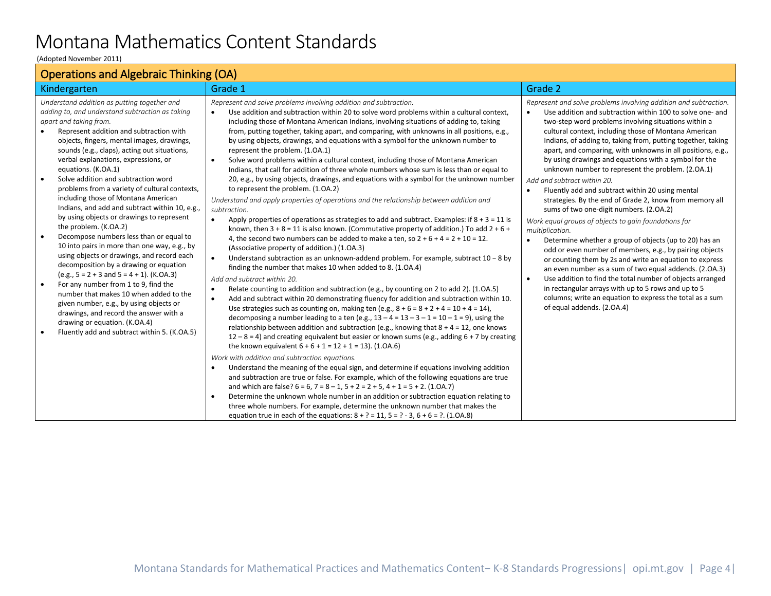<span id="page-3-0"></span>

| <b>Operations and Algebraic Thinking (OA)</b>                                                                                                                                                                                                                                                                                                                                                                                                                                                                                                                                                                                                                                                                                                                                                                                                                                                                                                                                                                                                                                                               |                                                                                                                                                                                                                                                                                                                                                                                                                                                                                                                                                                                                                                                                                                                                                                                                                                                                                                                                                                                                                                                                                                                                                                                                                                                                                                                                                                                                                                                                                                                                                                                                                                                                                                                                                                                                                                                                                                                                                                                                                                                                                                                                                                                                                                                                                                                                                                                                                                                                                                                                                                                                                                                                                                                                                                               |                                                                                                                                                                                                                                                                                                                                                                                                                                                                                                                                                                                                                                                                                                                                                                                                                                                                                                                                                                                                                                                                                                                                                                                                                         |  |
|-------------------------------------------------------------------------------------------------------------------------------------------------------------------------------------------------------------------------------------------------------------------------------------------------------------------------------------------------------------------------------------------------------------------------------------------------------------------------------------------------------------------------------------------------------------------------------------------------------------------------------------------------------------------------------------------------------------------------------------------------------------------------------------------------------------------------------------------------------------------------------------------------------------------------------------------------------------------------------------------------------------------------------------------------------------------------------------------------------------|-------------------------------------------------------------------------------------------------------------------------------------------------------------------------------------------------------------------------------------------------------------------------------------------------------------------------------------------------------------------------------------------------------------------------------------------------------------------------------------------------------------------------------------------------------------------------------------------------------------------------------------------------------------------------------------------------------------------------------------------------------------------------------------------------------------------------------------------------------------------------------------------------------------------------------------------------------------------------------------------------------------------------------------------------------------------------------------------------------------------------------------------------------------------------------------------------------------------------------------------------------------------------------------------------------------------------------------------------------------------------------------------------------------------------------------------------------------------------------------------------------------------------------------------------------------------------------------------------------------------------------------------------------------------------------------------------------------------------------------------------------------------------------------------------------------------------------------------------------------------------------------------------------------------------------------------------------------------------------------------------------------------------------------------------------------------------------------------------------------------------------------------------------------------------------------------------------------------------------------------------------------------------------------------------------------------------------------------------------------------------------------------------------------------------------------------------------------------------------------------------------------------------------------------------------------------------------------------------------------------------------------------------------------------------------------------------------------------------------------------------------------------------------|-------------------------------------------------------------------------------------------------------------------------------------------------------------------------------------------------------------------------------------------------------------------------------------------------------------------------------------------------------------------------------------------------------------------------------------------------------------------------------------------------------------------------------------------------------------------------------------------------------------------------------------------------------------------------------------------------------------------------------------------------------------------------------------------------------------------------------------------------------------------------------------------------------------------------------------------------------------------------------------------------------------------------------------------------------------------------------------------------------------------------------------------------------------------------------------------------------------------------|--|
| Kindergarten                                                                                                                                                                                                                                                                                                                                                                                                                                                                                                                                                                                                                                                                                                                                                                                                                                                                                                                                                                                                                                                                                                | Grade 1                                                                                                                                                                                                                                                                                                                                                                                                                                                                                                                                                                                                                                                                                                                                                                                                                                                                                                                                                                                                                                                                                                                                                                                                                                                                                                                                                                                                                                                                                                                                                                                                                                                                                                                                                                                                                                                                                                                                                                                                                                                                                                                                                                                                                                                                                                                                                                                                                                                                                                                                                                                                                                                                                                                                                                       | Grade 2                                                                                                                                                                                                                                                                                                                                                                                                                                                                                                                                                                                                                                                                                                                                                                                                                                                                                                                                                                                                                                                                                                                                                                                                                 |  |
| Understand addition as putting together and<br>adding to, and understand subtraction as taking<br>apart and taking from.<br>Represent addition and subtraction with<br>objects, fingers, mental images, drawings,<br>sounds (e.g., claps), acting out situations,<br>verbal explanations, expressions, or<br>equations. (K.OA.1)<br>Solve addition and subtraction word<br>$\bullet$<br>problems from a variety of cultural contexts,<br>including those of Montana American<br>Indians, and add and subtract within 10, e.g.,<br>by using objects or drawings to represent<br>the problem. (K.OA.2)<br>Decompose numbers less than or equal to<br>$\bullet$<br>10 into pairs in more than one way, e.g., by<br>using objects or drawings, and record each<br>decomposition by a drawing or equation<br>$(e.g., 5 = 2 + 3 and 5 = 4 + 1). (K.OA.3)$<br>For any number from 1 to 9, find the<br>number that makes 10 when added to the<br>given number, e.g., by using objects or<br>drawings, and record the answer with a<br>drawing or equation. (K.OA.4)<br>Fluently add and subtract within 5. (K.OA.5) | Represent and solve problems involving addition and subtraction.<br>Use addition and subtraction within 20 to solve word problems within a cultural context,<br>including those of Montana American Indians, involving situations of adding to, taking<br>from, putting together, taking apart, and comparing, with unknowns in all positions, e.g.,<br>by using objects, drawings, and equations with a symbol for the unknown number to<br>represent the problem. (1.0A.1)<br>Solve word problems within a cultural context, including those of Montana American<br>$\bullet$<br>Indians, that call for addition of three whole numbers whose sum is less than or equal to<br>20, e.g., by using objects, drawings, and equations with a symbol for the unknown number<br>to represent the problem. (1.0A.2)<br>Understand and apply properties of operations and the relationship between addition and<br>subtraction.<br>Apply properties of operations as strategies to add and subtract. Examples: if $8 + 3 = 11$ is<br>known, then $3 + 8 = 11$ is also known. (Commutative property of addition.) To add $2 + 6 +$<br>4, the second two numbers can be added to make a ten, so $2 + 6 + 4 = 2 + 10 = 12$ .<br>(Associative property of addition.) (1.0A.3)<br>Understand subtraction as an unknown-addend problem. For example, subtract $10 - 8$ by<br>$\bullet$<br>finding the number that makes 10 when added to 8. (1.0A.4)<br>Add and subtract within 20.<br>Relate counting to addition and subtraction (e.g., by counting on 2 to add 2). (1.0A.5)<br>$\bullet$<br>Add and subtract within 20 demonstrating fluency for addition and subtraction within 10.<br>$\bullet$<br>Use strategies such as counting on, making ten (e.g., $8 + 6 = 8 + 2 + 4 = 10 + 4 = 14$ ),<br>decomposing a number leading to a ten (e.g., $13 - 4 = 13 - 3 - 1 = 10 - 1 = 9$ ), using the<br>relationship between addition and subtraction (e.g., knowing that $8 + 4 = 12$ , one knows<br>$12-8=4$ ) and creating equivalent but easier or known sums (e.g., adding $6+7$ by creating<br>the known equivalent $6 + 6 + 1 = 12 + 1 = 13$ ). (1.0A.6)<br>Work with addition and subtraction equations.<br>Understand the meaning of the equal sign, and determine if equations involving addition<br>and subtraction are true or false. For example, which of the following equations are true<br>and which are false? $6 = 6$ , $7 = 8 - 1$ , $5 + 2 = 2 + 5$ , $4 + 1 = 5 + 2$ . (1.0A.7)<br>Determine the unknown whole number in an addition or subtraction equation relating to<br>$\bullet$<br>three whole numbers. For example, determine the unknown number that makes the<br>equation true in each of the equations: $8 + ? = 11$ , $5 = ? - 3$ , $6 + 6 = ?$ . (1.0A.8) | Represent and solve problems involving addition and subtraction.<br>Use addition and subtraction within 100 to solve one- and<br>two-step word problems involving situations within a<br>cultural context, including those of Montana American<br>Indians, of adding to, taking from, putting together, taking<br>apart, and comparing, with unknowns in all positions, e.g.,<br>by using drawings and equations with a symbol for the<br>unknown number to represent the problem. (2.0A.1)<br>Add and subtract within 20.<br>Fluently add and subtract within 20 using mental<br>strategies. By the end of Grade 2, know from memory all<br>sums of two one-digit numbers. (2.OA.2)<br>Work equal groups of objects to gain foundations for<br>multiplication.<br>Determine whether a group of objects (up to 20) has an<br>odd or even number of members, e.g., by pairing objects<br>or counting them by 2s and write an equation to express<br>an even number as a sum of two equal addends. (2.0A.3)<br>Use addition to find the total number of objects arranged<br>in rectangular arrays with up to 5 rows and up to 5<br>columns; write an equation to express the total as a sum<br>of equal addends. (2.OA.4) |  |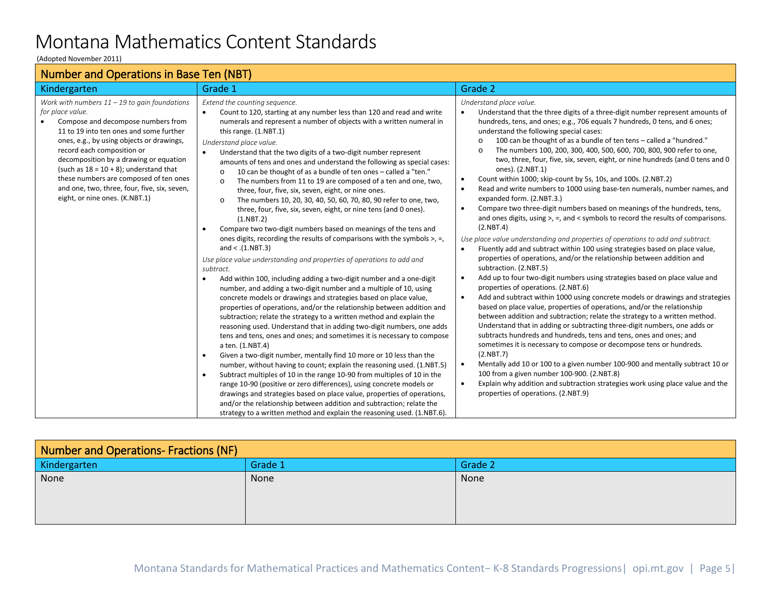<span id="page-4-0"></span>

| Number and Operations in Base Ten (NBT)                                                                                                                                                                                                                                                                                                                                                                                                            |                                                                                                                                                                                                                                                                                                                                                                                                                                                                                                                                                                                                                                                                                                                                                                                                                                                                                                                                                                                                                                                                                                                                                                                                                                                                                                                                                                                                                                                                                                                                                                                                                                                                                                                                                                                                                                                                                                                                                                                                                                                                                                                                                                                      |                                                                                                                                                                                                                                                                                                                                                                                                                                                                                                                                                                                                                                                                                                                                                                                                                                                                                                                                                                                                                                                                                                                                                                                                                                                                                                                                                                                                                                                                                                                                                                                                                                                                                                                                                                                                                                                                                                                                                                                                                                                                                                                         |  |
|----------------------------------------------------------------------------------------------------------------------------------------------------------------------------------------------------------------------------------------------------------------------------------------------------------------------------------------------------------------------------------------------------------------------------------------------------|--------------------------------------------------------------------------------------------------------------------------------------------------------------------------------------------------------------------------------------------------------------------------------------------------------------------------------------------------------------------------------------------------------------------------------------------------------------------------------------------------------------------------------------------------------------------------------------------------------------------------------------------------------------------------------------------------------------------------------------------------------------------------------------------------------------------------------------------------------------------------------------------------------------------------------------------------------------------------------------------------------------------------------------------------------------------------------------------------------------------------------------------------------------------------------------------------------------------------------------------------------------------------------------------------------------------------------------------------------------------------------------------------------------------------------------------------------------------------------------------------------------------------------------------------------------------------------------------------------------------------------------------------------------------------------------------------------------------------------------------------------------------------------------------------------------------------------------------------------------------------------------------------------------------------------------------------------------------------------------------------------------------------------------------------------------------------------------------------------------------------------------------------------------------------------------|-------------------------------------------------------------------------------------------------------------------------------------------------------------------------------------------------------------------------------------------------------------------------------------------------------------------------------------------------------------------------------------------------------------------------------------------------------------------------------------------------------------------------------------------------------------------------------------------------------------------------------------------------------------------------------------------------------------------------------------------------------------------------------------------------------------------------------------------------------------------------------------------------------------------------------------------------------------------------------------------------------------------------------------------------------------------------------------------------------------------------------------------------------------------------------------------------------------------------------------------------------------------------------------------------------------------------------------------------------------------------------------------------------------------------------------------------------------------------------------------------------------------------------------------------------------------------------------------------------------------------------------------------------------------------------------------------------------------------------------------------------------------------------------------------------------------------------------------------------------------------------------------------------------------------------------------------------------------------------------------------------------------------------------------------------------------------------------------------------------------------|--|
| Kindergarten                                                                                                                                                                                                                                                                                                                                                                                                                                       | Grade 1                                                                                                                                                                                                                                                                                                                                                                                                                                                                                                                                                                                                                                                                                                                                                                                                                                                                                                                                                                                                                                                                                                                                                                                                                                                                                                                                                                                                                                                                                                                                                                                                                                                                                                                                                                                                                                                                                                                                                                                                                                                                                                                                                                              | Grade 2                                                                                                                                                                                                                                                                                                                                                                                                                                                                                                                                                                                                                                                                                                                                                                                                                                                                                                                                                                                                                                                                                                                                                                                                                                                                                                                                                                                                                                                                                                                                                                                                                                                                                                                                                                                                                                                                                                                                                                                                                                                                                                                 |  |
| Work with numbers $11 - 19$ to gain foundations<br>for place value.<br>Compose and decompose numbers from<br>11 to 19 into ten ones and some further<br>ones, e.g., by using objects or drawings,<br>record each composition or<br>decomposition by a drawing or equation<br>(such as $18 = 10 + 8$ ); understand that<br>these numbers are composed of ten ones<br>and one, two, three, four, five, six, seven,<br>eight, or nine ones. (K.NBT.1) | Extend the counting sequence.<br>Count to 120, starting at any number less than 120 and read and write<br>$\bullet$<br>numerals and represent a number of objects with a written numeral in<br>this range. (1.NBT.1)<br>Understand place value.<br>Understand that the two digits of a two-digit number represent<br>$\bullet$<br>amounts of tens and ones and understand the following as special cases:<br>10 can be thought of as a bundle of ten ones - called a "ten."<br>$\circ$<br>The numbers from 11 to 19 are composed of a ten and one, two,<br>$\Omega$<br>three, four, five, six, seven, eight, or nine ones.<br>The numbers 10, 20, 30, 40, 50, 60, 70, 80, 90 refer to one, two,<br>$\circ$<br>three, four, five, six, seven, eight, or nine tens (and 0 ones).<br>(1.NBT.2)<br>Compare two two-digit numbers based on meanings of the tens and<br>$\bullet$<br>ones digits, recording the results of comparisons with the symbols >, =,<br>and < $(1.NBT.3)$<br>Use place value understanding and properties of operations to add and<br>subtract.<br>Add within 100, including adding a two-digit number and a one-digit<br>$\bullet$<br>number, and adding a two-digit number and a multiple of 10, using<br>concrete models or drawings and strategies based on place value,<br>properties of operations, and/or the relationship between addition and<br>subtraction; relate the strategy to a written method and explain the<br>reasoning used. Understand that in adding two-digit numbers, one adds<br>tens and tens, ones and ones; and sometimes it is necessary to compose<br>a ten. (1.NBT.4)<br>Given a two-digit number, mentally find 10 more or 10 less than the<br>$\bullet$<br>number, without having to count; explain the reasoning used. (1.NBT.5)<br>Subtract multiples of 10 in the range 10-90 from multiples of 10 in the<br>$\bullet$<br>range 10-90 (positive or zero differences), using concrete models or<br>drawings and strategies based on place value, properties of operations,<br>and/or the relationship between addition and subtraction; relate the<br>strategy to a written method and explain the reasoning used. (1.NBT.6). | Understand place value.<br>Understand that the three digits of a three-digit number represent amounts of<br>$\bullet$<br>hundreds, tens, and ones; e.g., 706 equals 7 hundreds, 0 tens, and 6 ones;<br>understand the following special cases:<br>100 can be thought of as a bundle of ten tens - called a "hundred."<br>$\circ$<br>The numbers 100, 200, 300, 400, 500, 600, 700, 800, 900 refer to one,<br>$\circ$<br>two, three, four, five, six, seven, eight, or nine hundreds (and 0 tens and 0<br>ones). (2.NBT.1)<br>Count within 1000; skip-count by 5s, 10s, and 100s. (2.NBT.2)<br>٠<br>Read and write numbers to 1000 using base-ten numerals, number names, and<br>$\bullet$<br>expanded form. (2.NBT.3.)<br>Compare two three-digit numbers based on meanings of the hundreds, tens,<br>$\bullet$<br>and ones digits, using $>$ , =, and < symbols to record the results of comparisons.<br>(2.NBT.4)<br>Use place value understanding and properties of operations to add and subtract.<br>Fluently add and subtract within 100 using strategies based on place value,<br>$\bullet$<br>properties of operations, and/or the relationship between addition and<br>subtraction. (2.NBT.5)<br>Add up to four two-digit numbers using strategies based on place value and<br>$\bullet$<br>properties of operations. (2.NBT.6)<br>Add and subtract within 1000 using concrete models or drawings and strategies<br>$\bullet$<br>based on place value, properties of operations, and/or the relationship<br>between addition and subtraction; relate the strategy to a written method.<br>Understand that in adding or subtracting three-digit numbers, one adds or<br>subtracts hundreds and hundreds, tens and tens, ones and ones; and<br>sometimes it is necessary to compose or decompose tens or hundreds.<br>(2.NBT.7)<br>Mentally add 10 or 100 to a given number 100-900 and mentally subtract 10 or<br>$\bullet$<br>100 from a given number 100-900. (2.NBT.8)<br>Explain why addition and subtraction strategies work using place value and the<br>$\bullet$<br>properties of operations. (2.NBT.9) |  |

<span id="page-4-1"></span>

| Number and Operations- Fractions (NF) |         |         |
|---------------------------------------|---------|---------|
| Kindergarten                          | Grade 1 | Grade 2 |
| None                                  | None    | None    |
|                                       |         |         |
|                                       |         |         |
|                                       |         |         |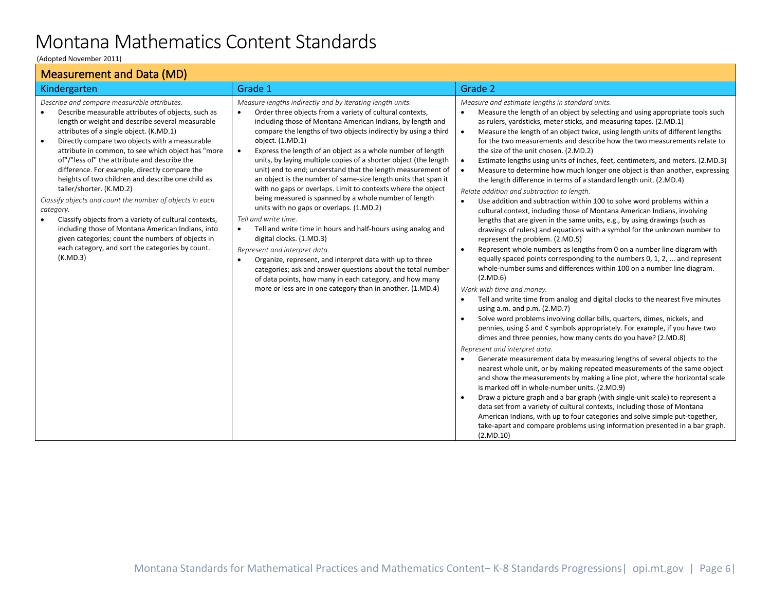<span id="page-5-0"></span>

| <b>Measurement and Data (MD)</b>                                                                                                                                                                                                                                                                                                                                                                                                                                                                                                                                                                                                                                                                                                                                                                                                 |                                                                                                                                                                                                                                                                                                                                                                                                                                                                                                                                                                                                                                                                                                                                                                                                                                                                                                                                                                                                                                                                                                                                                                                 |                                                                                                                                                                                                                                                                                                                                                                                                                                                                                                                                                                                                                                                                                                                                                                                                                                                                                                                                                                                                                                                                                                                                                                                                                                                                                                                                                                                                                                                                                                                                                                                                                                                                                                                                                                                                                                                                                                                                                                                                                                                                                                                                                                                                                                                                                                                                                                                                                                                                    |  |
|----------------------------------------------------------------------------------------------------------------------------------------------------------------------------------------------------------------------------------------------------------------------------------------------------------------------------------------------------------------------------------------------------------------------------------------------------------------------------------------------------------------------------------------------------------------------------------------------------------------------------------------------------------------------------------------------------------------------------------------------------------------------------------------------------------------------------------|---------------------------------------------------------------------------------------------------------------------------------------------------------------------------------------------------------------------------------------------------------------------------------------------------------------------------------------------------------------------------------------------------------------------------------------------------------------------------------------------------------------------------------------------------------------------------------------------------------------------------------------------------------------------------------------------------------------------------------------------------------------------------------------------------------------------------------------------------------------------------------------------------------------------------------------------------------------------------------------------------------------------------------------------------------------------------------------------------------------------------------------------------------------------------------|--------------------------------------------------------------------------------------------------------------------------------------------------------------------------------------------------------------------------------------------------------------------------------------------------------------------------------------------------------------------------------------------------------------------------------------------------------------------------------------------------------------------------------------------------------------------------------------------------------------------------------------------------------------------------------------------------------------------------------------------------------------------------------------------------------------------------------------------------------------------------------------------------------------------------------------------------------------------------------------------------------------------------------------------------------------------------------------------------------------------------------------------------------------------------------------------------------------------------------------------------------------------------------------------------------------------------------------------------------------------------------------------------------------------------------------------------------------------------------------------------------------------------------------------------------------------------------------------------------------------------------------------------------------------------------------------------------------------------------------------------------------------------------------------------------------------------------------------------------------------------------------------------------------------------------------------------------------------------------------------------------------------------------------------------------------------------------------------------------------------------------------------------------------------------------------------------------------------------------------------------------------------------------------------------------------------------------------------------------------------------------------------------------------------------------------------------------------------|--|
| Kindergarten                                                                                                                                                                                                                                                                                                                                                                                                                                                                                                                                                                                                                                                                                                                                                                                                                     | Grade 1                                                                                                                                                                                                                                                                                                                                                                                                                                                                                                                                                                                                                                                                                                                                                                                                                                                                                                                                                                                                                                                                                                                                                                         | Grade 2                                                                                                                                                                                                                                                                                                                                                                                                                                                                                                                                                                                                                                                                                                                                                                                                                                                                                                                                                                                                                                                                                                                                                                                                                                                                                                                                                                                                                                                                                                                                                                                                                                                                                                                                                                                                                                                                                                                                                                                                                                                                                                                                                                                                                                                                                                                                                                                                                                                            |  |
| Describe and compare measurable attributes.<br>Describe measurable attributes of objects, such as<br>length or weight and describe several measurable<br>attributes of a single object. (K.MD.1)<br>Directly compare two objects with a measurable<br>$\bullet$<br>attribute in common, to see which object has "more<br>of"/"less of" the attribute and describe the<br>difference. For example, directly compare the<br>heights of two children and describe one child as<br>taller/shorter. (K.MD.2)<br>Classify objects and count the number of objects in each<br>category.<br>Classify objects from a variety of cultural contexts,<br>$\bullet$<br>including those of Montana American Indians, into<br>given categories; count the numbers of objects in<br>each category, and sort the categories by count.<br>(K.MD.3) | Measure lengths indirectly and by iterating length units.<br>Order three objects from a variety of cultural contexts,<br>$\bullet$<br>including those of Montana American Indians, by length and<br>compare the lengths of two objects indirectly by using a third<br>object. (1.MD.1)<br>Express the length of an object as a whole number of length<br>$\bullet$<br>units, by laying multiple copies of a shorter object (the length<br>unit) end to end; understand that the length measurement of<br>an object is the number of same-size length units that span it<br>with no gaps or overlaps. Limit to contexts where the object<br>being measured is spanned by a whole number of length<br>units with no gaps or overlaps. (1.MD.2)<br>Tell and write time.<br>Tell and write time in hours and half-hours using analog and<br>$\bullet$<br>digital clocks. (1.MD.3)<br>Represent and interpret data.<br>Organize, represent, and interpret data with up to three<br>$\bullet$<br>categories; ask and answer questions about the total number<br>of data points, how many in each category, and how many<br>more or less are in one category than in another. (1.MD.4) | Measure and estimate lengths in standard units.<br>Measure the length of an object by selecting and using appropriate tools such<br>as rulers, yardsticks, meter sticks, and measuring tapes. (2.MD.1)<br>Measure the length of an object twice, using length units of different lengths<br>$\bullet$<br>for the two measurements and describe how the two measurements relate to<br>the size of the unit chosen. (2.MD.2)<br>Estimate lengths using units of inches, feet, centimeters, and meters. (2.MD.3)<br>$\bullet$<br>$\bullet$<br>Measure to determine how much longer one object is than another, expressing<br>the length difference in terms of a standard length unit. (2.MD.4)<br>Relate addition and subtraction to length.<br>Use addition and subtraction within 100 to solve word problems within a<br>cultural context, including those of Montana American Indians, involving<br>lengths that are given in the same units, e.g., by using drawings (such as<br>drawings of rulers) and equations with a symbol for the unknown number to<br>represent the problem. (2.MD.5)<br>$\bullet$<br>Represent whole numbers as lengths from 0 on a number line diagram with<br>equally spaced points corresponding to the numbers 0, 1, 2,  and represent<br>whole-number sums and differences within 100 on a number line diagram.<br>(2.MD.6)<br>Work with time and money.<br>Tell and write time from analog and digital clocks to the nearest five minutes<br>$\bullet$<br>using $a.m.$ and $p.m.$ $(2.MD.7)$<br>Solve word problems involving dollar bills, quarters, dimes, nickels, and<br>$\bullet$<br>pennies, using \$ and ¢ symbols appropriately. For example, if you have two<br>dimes and three pennies, how many cents do you have? (2.MD.8)<br>Represent and interpret data.<br>Generate measurement data by measuring lengths of several objects to the<br>$\bullet$<br>nearest whole unit, or by making repeated measurements of the same object<br>and show the measurements by making a line plot, where the horizontal scale<br>is marked off in whole-number units. (2.MD.9)<br>Draw a picture graph and a bar graph (with single-unit scale) to represent a<br>$\bullet$<br>data set from a variety of cultural contexts, including those of Montana<br>American Indians, with up to four categories and solve simple put-together,<br>take-apart and compare problems using information presented in a bar graph.<br>(2.MD.10) |  |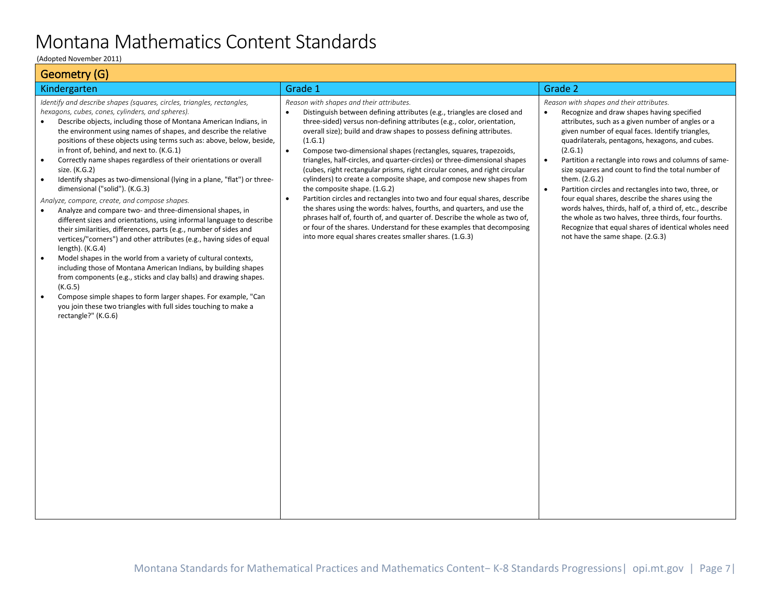<span id="page-6-0"></span>

| Geometry (G)                                                                                                                                                                                                                                                                                                                                                                                                                                                                                                                                                                                                                                                                                                                                                                                                                                                                                                                                                                                                                                                                                                                                                                                                                                                                                                                                                                                            |                                                                                                                                                                                                                                                                                                                                                                                                                                                                                                                                                                                                                                                                                                                                                                                                                                                                                                                                                                                                                         |                                                                                                                                                                                                                                                                                                                                                                                                                                                                                                                                                                                                                                                                                                                                                     |  |
|---------------------------------------------------------------------------------------------------------------------------------------------------------------------------------------------------------------------------------------------------------------------------------------------------------------------------------------------------------------------------------------------------------------------------------------------------------------------------------------------------------------------------------------------------------------------------------------------------------------------------------------------------------------------------------------------------------------------------------------------------------------------------------------------------------------------------------------------------------------------------------------------------------------------------------------------------------------------------------------------------------------------------------------------------------------------------------------------------------------------------------------------------------------------------------------------------------------------------------------------------------------------------------------------------------------------------------------------------------------------------------------------------------|-------------------------------------------------------------------------------------------------------------------------------------------------------------------------------------------------------------------------------------------------------------------------------------------------------------------------------------------------------------------------------------------------------------------------------------------------------------------------------------------------------------------------------------------------------------------------------------------------------------------------------------------------------------------------------------------------------------------------------------------------------------------------------------------------------------------------------------------------------------------------------------------------------------------------------------------------------------------------------------------------------------------------|-----------------------------------------------------------------------------------------------------------------------------------------------------------------------------------------------------------------------------------------------------------------------------------------------------------------------------------------------------------------------------------------------------------------------------------------------------------------------------------------------------------------------------------------------------------------------------------------------------------------------------------------------------------------------------------------------------------------------------------------------------|--|
| Kindergarten                                                                                                                                                                                                                                                                                                                                                                                                                                                                                                                                                                                                                                                                                                                                                                                                                                                                                                                                                                                                                                                                                                                                                                                                                                                                                                                                                                                            | Grade 1                                                                                                                                                                                                                                                                                                                                                                                                                                                                                                                                                                                                                                                                                                                                                                                                                                                                                                                                                                                                                 | Grade 2                                                                                                                                                                                                                                                                                                                                                                                                                                                                                                                                                                                                                                                                                                                                             |  |
| Identify and describe shapes (squares, circles, triangles, rectangles,<br>hexagons, cubes, cones, cylinders, and spheres).<br>Describe objects, including those of Montana American Indians, in<br>the environment using names of shapes, and describe the relative<br>positions of these objects using terms such as: above, below, beside,<br>in front of, behind, and next to. (K.G.1)<br>Correctly name shapes regardless of their orientations or overall<br>$\bullet$<br>size. (K.G.2)<br>Identify shapes as two-dimensional (lying in a plane, "flat") or three-<br>$\bullet$<br>dimensional ("solid"). (K.G.3)<br>Analyze, compare, create, and compose shapes.<br>Analyze and compare two- and three-dimensional shapes, in<br>$\bullet$<br>different sizes and orientations, using informal language to describe<br>their similarities, differences, parts (e.g., number of sides and<br>vertices/"corners") and other attributes (e.g., having sides of equal<br>length). (K.G.4)<br>Model shapes in the world from a variety of cultural contexts,<br>$\bullet$<br>including those of Montana American Indians, by building shapes<br>from components (e.g., sticks and clay balls) and drawing shapes.<br>(K.G.5)<br>Compose simple shapes to form larger shapes. For example, "Can<br>$\bullet$<br>you join these two triangles with full sides touching to make a<br>rectangle?" (K.G.6) | Reason with shapes and their attributes.<br>Distinguish between defining attributes (e.g., triangles are closed and<br>three-sided) versus non-defining attributes (e.g., color, orientation,<br>overall size); build and draw shapes to possess defining attributes.<br>(1.G.1)<br>$\bullet$<br>Compose two-dimensional shapes (rectangles, squares, trapezoids,<br>triangles, half-circles, and quarter-circles) or three-dimensional shapes<br>(cubes, right rectangular prisms, right circular cones, and right circular<br>cylinders) to create a composite shape, and compose new shapes from<br>the composite shape. (1.6.2)<br>Partition circles and rectangles into two and four equal shares, describe<br>$\bullet$<br>the shares using the words: halves, fourths, and quarters, and use the<br>phrases half of, fourth of, and quarter of. Describe the whole as two of,<br>or four of the shares. Understand for these examples that decomposing<br>into more equal shares creates smaller shares. (1.G.3) | Reason with shapes and their attributes.<br>Recognize and draw shapes having specified<br>attributes, such as a given number of angles or a<br>given number of equal faces. Identify triangles,<br>quadrilaterals, pentagons, hexagons, and cubes.<br>(2.G.1)<br>$\bullet$<br>Partition a rectangle into rows and columns of same-<br>size squares and count to find the total number of<br>them. (2.G.2)<br>Partition circles and rectangles into two, three, or<br>$\bullet$<br>four equal shares, describe the shares using the<br>words halves, thirds, half of, a third of, etc., describe<br>the whole as two halves, three thirds, four fourths.<br>Recognize that equal shares of identical wholes need<br>not have the same shape. (2.G.3) |  |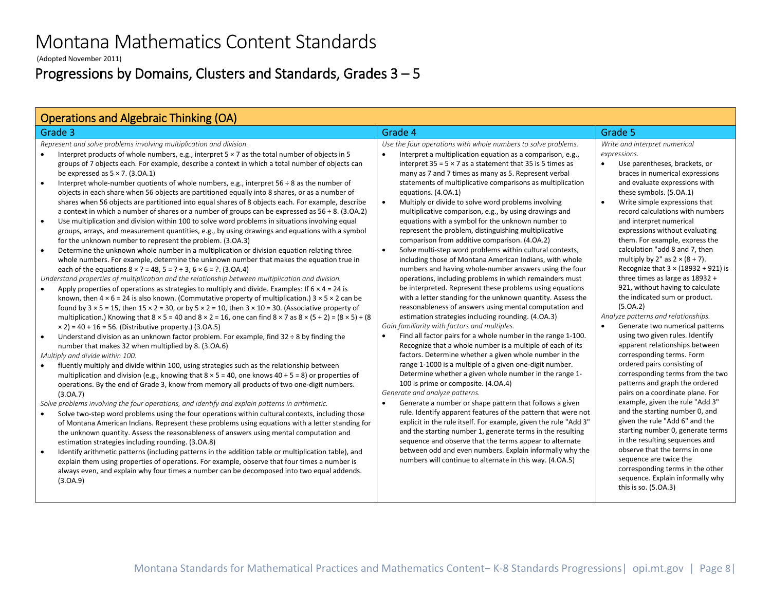(Adopted November 2011)

#### <span id="page-7-0"></span>Progressions by Domains, Clusters and Standards, Grades 3 – 5

<span id="page-7-1"></span>

| <b>Operations and Algebraic Thinking (OA)</b>                                                                                                                                                                                                                                                                                                                                                                                                                                                                                                                                                                                                                                                                                                                                                                                                                                                                                                                                                                                                                                                                                                                                                                                                                                                                                                                                                                                                                                                                                                                                                                                                                                                                                                                                                                                                                                                                                                                                                                                                                                                                                                                                                                                                                                                                                                                                                                                                                                                                                                                                                                                                                                                                                                                                                                                                                                                                                                                                                                                                                                                                                                                                                                                                                                                                                                                                           |                                                                                                                                                                                                                                                                                                                                                                                                                                                                                                                                                                                                                                                                                                                                                                                                                                                                                                                                                                                                                                                                                                                                                                                                                                                                                                                                                                                                                                                                                                                                                                                                                                                                                                                                                                                                                                                                                                                                                                                                                                     |                                                                                                                                                                                                                                                                                                                                                                                                                                                                                                                                                                                                                                                                                                                                                                                                                                                                                                                                                                                                                                                                                                                                                                                                                                                                            |  |
|-----------------------------------------------------------------------------------------------------------------------------------------------------------------------------------------------------------------------------------------------------------------------------------------------------------------------------------------------------------------------------------------------------------------------------------------------------------------------------------------------------------------------------------------------------------------------------------------------------------------------------------------------------------------------------------------------------------------------------------------------------------------------------------------------------------------------------------------------------------------------------------------------------------------------------------------------------------------------------------------------------------------------------------------------------------------------------------------------------------------------------------------------------------------------------------------------------------------------------------------------------------------------------------------------------------------------------------------------------------------------------------------------------------------------------------------------------------------------------------------------------------------------------------------------------------------------------------------------------------------------------------------------------------------------------------------------------------------------------------------------------------------------------------------------------------------------------------------------------------------------------------------------------------------------------------------------------------------------------------------------------------------------------------------------------------------------------------------------------------------------------------------------------------------------------------------------------------------------------------------------------------------------------------------------------------------------------------------------------------------------------------------------------------------------------------------------------------------------------------------------------------------------------------------------------------------------------------------------------------------------------------------------------------------------------------------------------------------------------------------------------------------------------------------------------------------------------------------------------------------------------------------------------------------------------------------------------------------------------------------------------------------------------------------------------------------------------------------------------------------------------------------------------------------------------------------------------------------------------------------------------------------------------------------------------------------------------------------------------------------------------------------|-------------------------------------------------------------------------------------------------------------------------------------------------------------------------------------------------------------------------------------------------------------------------------------------------------------------------------------------------------------------------------------------------------------------------------------------------------------------------------------------------------------------------------------------------------------------------------------------------------------------------------------------------------------------------------------------------------------------------------------------------------------------------------------------------------------------------------------------------------------------------------------------------------------------------------------------------------------------------------------------------------------------------------------------------------------------------------------------------------------------------------------------------------------------------------------------------------------------------------------------------------------------------------------------------------------------------------------------------------------------------------------------------------------------------------------------------------------------------------------------------------------------------------------------------------------------------------------------------------------------------------------------------------------------------------------------------------------------------------------------------------------------------------------------------------------------------------------------------------------------------------------------------------------------------------------------------------------------------------------------------------------------------------------|----------------------------------------------------------------------------------------------------------------------------------------------------------------------------------------------------------------------------------------------------------------------------------------------------------------------------------------------------------------------------------------------------------------------------------------------------------------------------------------------------------------------------------------------------------------------------------------------------------------------------------------------------------------------------------------------------------------------------------------------------------------------------------------------------------------------------------------------------------------------------------------------------------------------------------------------------------------------------------------------------------------------------------------------------------------------------------------------------------------------------------------------------------------------------------------------------------------------------------------------------------------------------|--|
| Grade 3                                                                                                                                                                                                                                                                                                                                                                                                                                                                                                                                                                                                                                                                                                                                                                                                                                                                                                                                                                                                                                                                                                                                                                                                                                                                                                                                                                                                                                                                                                                                                                                                                                                                                                                                                                                                                                                                                                                                                                                                                                                                                                                                                                                                                                                                                                                                                                                                                                                                                                                                                                                                                                                                                                                                                                                                                                                                                                                                                                                                                                                                                                                                                                                                                                                                                                                                                                                 | Grade 4                                                                                                                                                                                                                                                                                                                                                                                                                                                                                                                                                                                                                                                                                                                                                                                                                                                                                                                                                                                                                                                                                                                                                                                                                                                                                                                                                                                                                                                                                                                                                                                                                                                                                                                                                                                                                                                                                                                                                                                                                             | Grade 5                                                                                                                                                                                                                                                                                                                                                                                                                                                                                                                                                                                                                                                                                                                                                                                                                                                                                                                                                                                                                                                                                                                                                                                                                                                                    |  |
| Represent and solve problems involving multiplication and division.<br>Interpret products of whole numbers, e.g., interpret $5 \times 7$ as the total number of objects in 5<br>groups of 7 objects each. For example, describe a context in which a total number of objects can<br>be expressed as $5 \times 7$ . (3.0A.1)<br>Interpret whole-number quotients of whole numbers, e.g., interpret $56 \div 8$ as the number of<br>$\bullet$<br>objects in each share when 56 objects are partitioned equally into 8 shares, or as a number of<br>shares when 56 objects are partitioned into equal shares of 8 objects each. For example, describe<br>a context in which a number of shares or a number of groups can be expressed as $56 \div 8$ . (3.0A.2)<br>Use multiplication and division within 100 to solve word problems in situations involving equal<br>$\bullet$<br>groups, arrays, and measurement quantities, e.g., by using drawings and equations with a symbol<br>for the unknown number to represent the problem. (3.0A.3)<br>Determine the unknown whole number in a multiplication or division equation relating three<br>$\bullet$<br>whole numbers. For example, determine the unknown number that makes the equation true in<br>each of the equations $8 \times ? = 48$ , $5 = ? \div 3$ , $6 \times 6 = ?$ . (3.0A.4)<br>Understand properties of multiplication and the relationship between multiplication and division.<br>Apply properties of operations as strategies to multiply and divide. Examples: If $6 \times 4 = 24$ is<br>known, then $4 \times 6 = 24$ is also known. (Commutative property of multiplication.) $3 \times 5 \times 2$ can be<br>found by $3 \times 5 = 15$ , then $15 \times 2 = 30$ , or by $5 \times 2 = 10$ , then $3 \times 10 = 30$ . (Associative property of<br>multiplication.) Knowing that $8 \times 5 = 40$ and $8 \times 2 = 16$ , one can find $8 \times 7$ as $8 \times (5 + 2) = (8 \times 5) + (8$<br>$\times$ 2) = 40 + 16 = 56. (Distributive property.) (3.0A.5)<br>Understand division as an unknown factor problem. For example, find $32 \div 8$ by finding the<br>$\bullet$<br>number that makes 32 when multiplied by 8. (3.0A.6)<br>Multiply and divide within 100.<br>fluently multiply and divide within 100, using strategies such as the relationship between<br>$\bullet$<br>multiplication and division (e.g., knowing that $8 \times 5 = 40$ , one knows $40 \div 5 = 8$ ) or properties of<br>operations. By the end of Grade 3, know from memory all products of two one-digit numbers.<br>(3.0A.7)<br>Solve problems involving the four operations, and identify and explain patterns in arithmetic.<br>Solve two-step word problems using the four operations within cultural contexts, including those<br>of Montana American Indians. Represent these problems using equations with a letter standing for<br>the unknown quantity. Assess the reasonableness of answers using mental computation and<br>estimation strategies including rounding. (3.0A.8)<br>Identify arithmetic patterns (including patterns in the addition table or multiplication table), and<br>$\bullet$<br>explain them using properties of operations. For example, observe that four times a number is<br>always even, and explain why four times a number can be decomposed into two equal addends.<br>(3.0A.9) | Use the four operations with whole numbers to solve problems.<br>Interpret a multiplication equation as a comparison, e.g.,<br>interpret $35 = 5 \times 7$ as a statement that 35 is 5 times as<br>many as 7 and 7 times as many as 5. Represent verbal<br>statements of multiplicative comparisons as multiplication<br>equations. (4.0A.1)<br>Multiply or divide to solve word problems involving<br>$\bullet$<br>multiplicative comparison, e.g., by using drawings and<br>equations with a symbol for the unknown number to<br>represent the problem, distinguishing multiplicative<br>comparison from additive comparison. (4.OA.2)<br>Solve multi-step word problems within cultural contexts,<br>$\bullet$<br>including those of Montana American Indians, with whole<br>numbers and having whole-number answers using the four<br>operations, including problems in which remainders must<br>be interpreted. Represent these problems using equations<br>with a letter standing for the unknown quantity. Assess the<br>reasonableness of answers using mental computation and<br>estimation strategies including rounding. (4.0A.3)<br>Gain familiarity with factors and multiples.<br>Find all factor pairs for a whole number in the range 1-100.<br>Recognize that a whole number is a multiple of each of its<br>factors. Determine whether a given whole number in the<br>range 1-1000 is a multiple of a given one-digit number.<br>Determine whether a given whole number in the range 1-<br>100 is prime or composite. (4.0A.4)<br>Generate and analyze patterns.<br>Generate a number or shape pattern that follows a given<br>rule. Identify apparent features of the pattern that were not<br>explicit in the rule itself. For example, given the rule "Add 3"<br>and the starting number 1, generate terms in the resulting<br>sequence and observe that the terms appear to alternate<br>between odd and even numbers. Explain informally why the<br>numbers will continue to alternate in this way. (4.0A.5) | Write and interpret numerical<br>expressions.<br>Use parentheses, brackets, or<br>braces in numerical expressions<br>and evaluate expressions with<br>these symbols. (5.OA.1)<br>$\bullet$<br>Write simple expressions that<br>record calculations with numbers<br>and interpret numerical<br>expressions without evaluating<br>them. For example, express the<br>calculation "add 8 and 7, then<br>multiply by 2" as $2 \times (8 + 7)$ .<br>Recognize that $3 \times (18932 + 921)$ is<br>three times as large as 18932 +<br>921, without having to calculate<br>the indicated sum or product.<br>(5.0A.2)<br>Analyze patterns and relationships.<br>Generate two numerical patterns<br>using two given rules. Identify<br>apparent relationships between<br>corresponding terms. Form<br>ordered pairs consisting of<br>corresponding terms from the two<br>patterns and graph the ordered<br>pairs on a coordinate plane. For<br>example, given the rule "Add 3"<br>and the starting number 0, and<br>given the rule "Add 6" and the<br>starting number 0, generate terms<br>in the resulting sequences and<br>observe that the terms in one<br>sequence are twice the<br>corresponding terms in the other<br>sequence. Explain informally why<br>this is so. (5.0A.3) |  |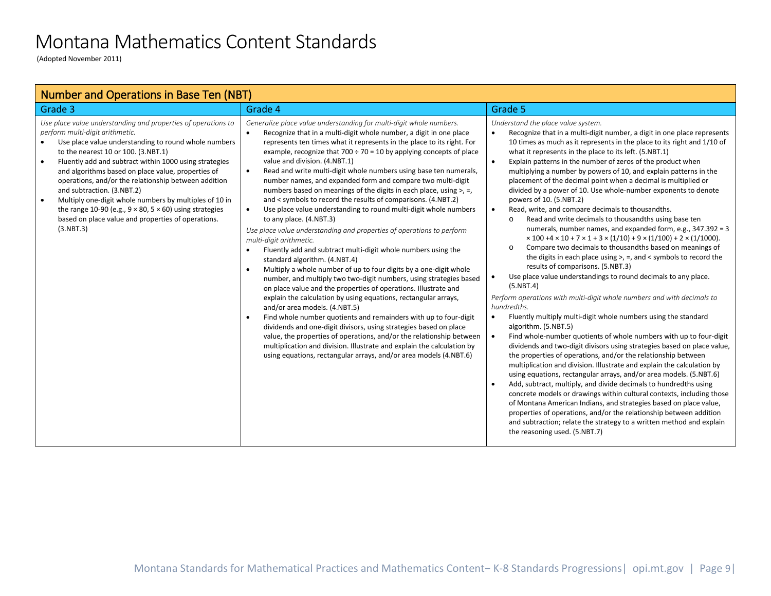<span id="page-8-0"></span>

| Number and Operations in Base Ten (NBT)                                                                                                                                                                                                                                                                                                                                                                                                                                                                                                                                                                                                 |                                                                                                                                                                                                                                                                                                                                                                                                                                                                                                                                                                                                                                                                                                                                                                                                                                                                                                                                                                                                                                                                                                                                                                                                                                                                                                                                                                                                                                                                                                                                                                                                                                                                                  |                                                                                                                                                                                                                                                                                                                                                                                                                                                                                                                                                                                                                                                                                                                                                                                                                                                                                                                                                                                                                                                                                                                                                                                                                                                                                                                                                                                                                                                                                                                                                                                                                                                                                                                                                                                                                                                                                                                                                                                                                                                                                                          |
|-----------------------------------------------------------------------------------------------------------------------------------------------------------------------------------------------------------------------------------------------------------------------------------------------------------------------------------------------------------------------------------------------------------------------------------------------------------------------------------------------------------------------------------------------------------------------------------------------------------------------------------------|----------------------------------------------------------------------------------------------------------------------------------------------------------------------------------------------------------------------------------------------------------------------------------------------------------------------------------------------------------------------------------------------------------------------------------------------------------------------------------------------------------------------------------------------------------------------------------------------------------------------------------------------------------------------------------------------------------------------------------------------------------------------------------------------------------------------------------------------------------------------------------------------------------------------------------------------------------------------------------------------------------------------------------------------------------------------------------------------------------------------------------------------------------------------------------------------------------------------------------------------------------------------------------------------------------------------------------------------------------------------------------------------------------------------------------------------------------------------------------------------------------------------------------------------------------------------------------------------------------------------------------------------------------------------------------|----------------------------------------------------------------------------------------------------------------------------------------------------------------------------------------------------------------------------------------------------------------------------------------------------------------------------------------------------------------------------------------------------------------------------------------------------------------------------------------------------------------------------------------------------------------------------------------------------------------------------------------------------------------------------------------------------------------------------------------------------------------------------------------------------------------------------------------------------------------------------------------------------------------------------------------------------------------------------------------------------------------------------------------------------------------------------------------------------------------------------------------------------------------------------------------------------------------------------------------------------------------------------------------------------------------------------------------------------------------------------------------------------------------------------------------------------------------------------------------------------------------------------------------------------------------------------------------------------------------------------------------------------------------------------------------------------------------------------------------------------------------------------------------------------------------------------------------------------------------------------------------------------------------------------------------------------------------------------------------------------------------------------------------------------------------------------------------------------------|
| Grade 3                                                                                                                                                                                                                                                                                                                                                                                                                                                                                                                                                                                                                                 | Grade 4                                                                                                                                                                                                                                                                                                                                                                                                                                                                                                                                                                                                                                                                                                                                                                                                                                                                                                                                                                                                                                                                                                                                                                                                                                                                                                                                                                                                                                                                                                                                                                                                                                                                          | Grade 5                                                                                                                                                                                                                                                                                                                                                                                                                                                                                                                                                                                                                                                                                                                                                                                                                                                                                                                                                                                                                                                                                                                                                                                                                                                                                                                                                                                                                                                                                                                                                                                                                                                                                                                                                                                                                                                                                                                                                                                                                                                                                                  |
| Use place value understanding and properties of operations to<br>perform multi-digit arithmetic.<br>Use place value understanding to round whole numbers<br>to the nearest 10 or 100. (3.NBT.1)<br>Fluently add and subtract within 1000 using strategies<br>$\bullet$<br>and algorithms based on place value, properties of<br>operations, and/or the relationship between addition<br>and subtraction. (3.NBT.2)<br>Multiply one-digit whole numbers by multiples of 10 in<br>$\bullet$<br>the range 10-90 (e.g., $9 \times 80$ , $5 \times 60$ ) using strategies<br>based on place value and properties of operations.<br>(3.NBT.3) | Generalize place value understanding for multi-digit whole numbers.<br>Recognize that in a multi-digit whole number, a digit in one place<br>$\bullet$<br>represents ten times what it represents in the place to its right. For<br>example, recognize that $700 \div 70 = 10$ by applying concepts of place<br>value and division. (4.NBT.1)<br>Read and write multi-digit whole numbers using base ten numerals,<br>$\bullet$<br>number names, and expanded form and compare two multi-digit<br>numbers based on meanings of the digits in each place, using >, =,<br>and < symbols to record the results of comparisons. (4.NBT.2)<br>Use place value understanding to round multi-digit whole numbers<br>$\bullet$<br>to any place. (4.NBT.3)<br>Use place value understanding and properties of operations to perform<br>multi-digit arithmetic.<br>Fluently add and subtract multi-digit whole numbers using the<br>$\bullet$<br>standard algorithm. (4.NBT.4)<br>Multiply a whole number of up to four digits by a one-digit whole<br>$\bullet$<br>number, and multiply two two-digit numbers, using strategies based<br>on place value and the properties of operations. Illustrate and<br>explain the calculation by using equations, rectangular arrays,<br>and/or area models. (4.NBT.5)<br>Find whole number quotients and remainders with up to four-digit<br>$\bullet$<br>dividends and one-digit divisors, using strategies based on place<br>value, the properties of operations, and/or the relationship between<br>multiplication and division. Illustrate and explain the calculation by<br>using equations, rectangular arrays, and/or area models (4.NBT.6) | Understand the place value system.<br>Recognize that in a multi-digit number, a digit in one place represents<br>10 times as much as it represents in the place to its right and 1/10 of<br>what it represents in the place to its left. (5.NBT.1)<br>Explain patterns in the number of zeros of the product when<br>multiplying a number by powers of 10, and explain patterns in the<br>placement of the decimal point when a decimal is multiplied or<br>divided by a power of 10. Use whole-number exponents to denote<br>powers of 10. (5.NBT.2)<br>Read, write, and compare decimals to thousandths.<br>Read and write decimals to thousandths using base ten<br>$\circ$<br>numerals, number names, and expanded form, e.g., 347.392 = 3<br>$\times$ 100 +4 $\times$ 10 + 7 $\times$ 1 + 3 $\times$ (1/10) + 9 $\times$ (1/100) + 2 $\times$ (1/1000).<br>Compare two decimals to thousandths based on meanings of<br>$\circ$<br>the digits in each place using $>$ , $=$ , and $\lt$ symbols to record the<br>results of comparisons. (5.NBT.3)<br>Use place value understandings to round decimals to any place.<br>(5.NBT.4)<br>Perform operations with multi-digit whole numbers and with decimals to<br>hundredths.<br>Fluently multiply multi-digit whole numbers using the standard<br>algorithm. (5.NBT.5)<br>Find whole-number quotients of whole numbers with up to four-digit<br>$\bullet$<br>dividends and two-digit divisors using strategies based on place value,<br>the properties of operations, and/or the relationship between<br>multiplication and division. Illustrate and explain the calculation by<br>using equations, rectangular arrays, and/or area models. (5.NBT.6)<br>Add, subtract, multiply, and divide decimals to hundredths using<br>concrete models or drawings within cultural contexts, including those<br>of Montana American Indians, and strategies based on place value,<br>properties of operations, and/or the relationship between addition<br>and subtraction; relate the strategy to a written method and explain<br>the reasoning used. (5.NBT.7) |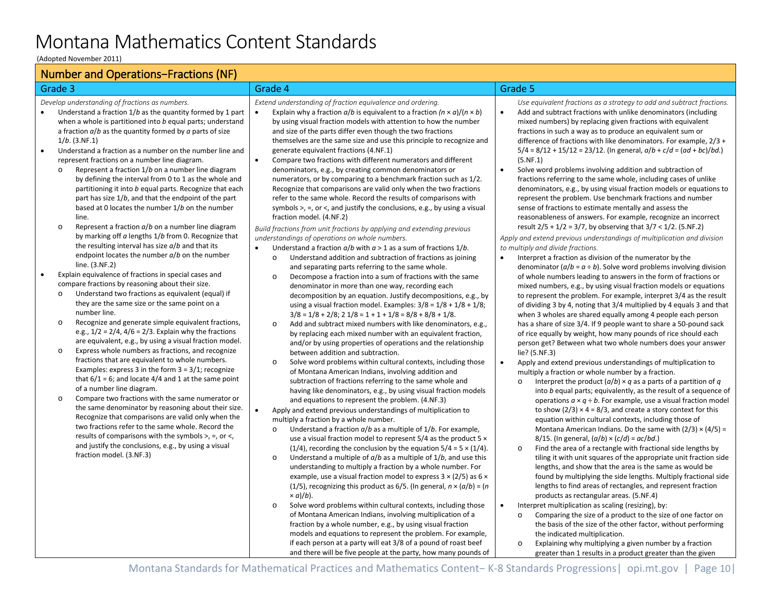(Adopted November 2011)

#### <span id="page-9-0"></span>Number and Operations−Fractions (NF)

| Number and Operations-Fractions (NF)                                                                                                                                                                                                                                                                                                                                                                                                                                                                                                                                                                                                                                                                                                                                                                                                                                                                                                                                                                                                                                                                                                                                                                                                                                                                                                                                                                                                                                                                                                                                                                                                                                                                                                                                                                                                                                                                                                                                                                                                                   |                                                                                                                                                                                                                                                                                                                                                                                                                                                                                                                                                                                                                                                                                                                                                                                                                                                                                                                                                                                                                                                                                                                                                                                                                                                                                                                                                                                                                                                                                                                                                                                                                                                                                                                                                                                                                                                                                                                                                                                                                                                                                                                                                                                                                                                                                                                                                                                                                                                                                                                                                                                                                                                                                                                                                                                                                                                                                                                                                                                                                                                                                                                                                                                                                                                                  |                                                                                                                                                                                                                                                                                                                                                                                                                                                                                                                                                                                                                                                                                                                                                                                                                                                                                                                                                                                                                                                                                                                                                                                                                                                                                                                                                                                                                                                                                                                                                                                                                                                                                                                                                                                                                                                                                                                                                                                                                                                                                                                                                                                                                                                                                                                                                                                                                                                                                                                                                                                                                                                                                                                                                                                                                                                                                                                                                                                                                                                                                                                                                                                                           |  |
|--------------------------------------------------------------------------------------------------------------------------------------------------------------------------------------------------------------------------------------------------------------------------------------------------------------------------------------------------------------------------------------------------------------------------------------------------------------------------------------------------------------------------------------------------------------------------------------------------------------------------------------------------------------------------------------------------------------------------------------------------------------------------------------------------------------------------------------------------------------------------------------------------------------------------------------------------------------------------------------------------------------------------------------------------------------------------------------------------------------------------------------------------------------------------------------------------------------------------------------------------------------------------------------------------------------------------------------------------------------------------------------------------------------------------------------------------------------------------------------------------------------------------------------------------------------------------------------------------------------------------------------------------------------------------------------------------------------------------------------------------------------------------------------------------------------------------------------------------------------------------------------------------------------------------------------------------------------------------------------------------------------------------------------------------------|------------------------------------------------------------------------------------------------------------------------------------------------------------------------------------------------------------------------------------------------------------------------------------------------------------------------------------------------------------------------------------------------------------------------------------------------------------------------------------------------------------------------------------------------------------------------------------------------------------------------------------------------------------------------------------------------------------------------------------------------------------------------------------------------------------------------------------------------------------------------------------------------------------------------------------------------------------------------------------------------------------------------------------------------------------------------------------------------------------------------------------------------------------------------------------------------------------------------------------------------------------------------------------------------------------------------------------------------------------------------------------------------------------------------------------------------------------------------------------------------------------------------------------------------------------------------------------------------------------------------------------------------------------------------------------------------------------------------------------------------------------------------------------------------------------------------------------------------------------------------------------------------------------------------------------------------------------------------------------------------------------------------------------------------------------------------------------------------------------------------------------------------------------------------------------------------------------------------------------------------------------------------------------------------------------------------------------------------------------------------------------------------------------------------------------------------------------------------------------------------------------------------------------------------------------------------------------------------------------------------------------------------------------------------------------------------------------------------------------------------------------------------------------------------------------------------------------------------------------------------------------------------------------------------------------------------------------------------------------------------------------------------------------------------------------------------------------------------------------------------------------------------------------------------------------------------------------------------------------------------------------------|-----------------------------------------------------------------------------------------------------------------------------------------------------------------------------------------------------------------------------------------------------------------------------------------------------------------------------------------------------------------------------------------------------------------------------------------------------------------------------------------------------------------------------------------------------------------------------------------------------------------------------------------------------------------------------------------------------------------------------------------------------------------------------------------------------------------------------------------------------------------------------------------------------------------------------------------------------------------------------------------------------------------------------------------------------------------------------------------------------------------------------------------------------------------------------------------------------------------------------------------------------------------------------------------------------------------------------------------------------------------------------------------------------------------------------------------------------------------------------------------------------------------------------------------------------------------------------------------------------------------------------------------------------------------------------------------------------------------------------------------------------------------------------------------------------------------------------------------------------------------------------------------------------------------------------------------------------------------------------------------------------------------------------------------------------------------------------------------------------------------------------------------------------------------------------------------------------------------------------------------------------------------------------------------------------------------------------------------------------------------------------------------------------------------------------------------------------------------------------------------------------------------------------------------------------------------------------------------------------------------------------------------------------------------------------------------------------------------------------------------------------------------------------------------------------------------------------------------------------------------------------------------------------------------------------------------------------------------------------------------------------------------------------------------------------------------------------------------------------------------------------------------------------------------------------------------------------------|--|
| Grade 3                                                                                                                                                                                                                                                                                                                                                                                                                                                                                                                                                                                                                                                                                                                                                                                                                                                                                                                                                                                                                                                                                                                                                                                                                                                                                                                                                                                                                                                                                                                                                                                                                                                                                                                                                                                                                                                                                                                                                                                                                                                | Grade 4                                                                                                                                                                                                                                                                                                                                                                                                                                                                                                                                                                                                                                                                                                                                                                                                                                                                                                                                                                                                                                                                                                                                                                                                                                                                                                                                                                                                                                                                                                                                                                                                                                                                                                                                                                                                                                                                                                                                                                                                                                                                                                                                                                                                                                                                                                                                                                                                                                                                                                                                                                                                                                                                                                                                                                                                                                                                                                                                                                                                                                                                                                                                                                                                                                                          | Grade 5                                                                                                                                                                                                                                                                                                                                                                                                                                                                                                                                                                                                                                                                                                                                                                                                                                                                                                                                                                                                                                                                                                                                                                                                                                                                                                                                                                                                                                                                                                                                                                                                                                                                                                                                                                                                                                                                                                                                                                                                                                                                                                                                                                                                                                                                                                                                                                                                                                                                                                                                                                                                                                                                                                                                                                                                                                                                                                                                                                                                                                                                                                                                                                                                   |  |
| Develop understanding of fractions as numbers.<br>Understand a fraction $1/b$ as the quantity formed by 1 part<br>when a whole is partitioned into b equal parts; understand<br>a fraction $a/b$ as the quantity formed by $a$ parts of size<br>$1/b.$ (3.NF.1)<br>Understand a fraction as a number on the number line and<br>$\bullet$<br>represent fractions on a number line diagram.<br>Represent a fraction 1/b on a number line diagram<br>by defining the interval from 0 to 1 as the whole and<br>partitioning it into b equal parts. Recognize that each<br>part has size 1/b, and that the endpoint of the part<br>based at 0 locates the number 1/b on the number<br>line.<br>Represent a fraction $a/b$ on a number line diagram<br>$\circ$<br>by marking off $a$ lengths $1/b$ from 0. Recognize that<br>the resulting interval has size $a/b$ and that its<br>endpoint locates the number a/b on the number<br>line. (3.NF.2)<br>Explain equivalence of fractions in special cases and<br>$\bullet$<br>compare fractions by reasoning about their size.<br>Understand two fractions as equivalent (equal) if<br>$\circ$<br>they are the same size or the same point on a<br>number line.<br>Recognize and generate simple equivalent fractions,<br>$\circ$<br>e.g., $1/2 = 2/4$ , $4/6 = 2/3$ . Explain why the fractions<br>are equivalent, e.g., by using a visual fraction model.<br>Express whole numbers as fractions, and recognize<br>$\circ$<br>fractions that are equivalent to whole numbers.<br>Examples: express 3 in the form $3 = 3/1$ ; recognize<br>that $6/1 = 6$ ; and locate 4/4 and 1 at the same point<br>of a number line diagram.<br>Compare two fractions with the same numerator or<br>$\circ$<br>the same denominator by reasoning about their size.<br>Recognize that comparisons are valid only when the<br>two fractions refer to the same whole. Record the<br>results of comparisons with the symbols $>$ , =, or <,<br>and justify the conclusions, e.g., by using a visual<br>fraction model. (3.NF.3) | Extend understanding of fraction equivalence and ordering.<br>Explain why a fraction $a/b$ is equivalent to a fraction $(n \times a)/(n \times b)$<br>by using visual fraction models with attention to how the number<br>and size of the parts differ even though the two fractions<br>themselves are the same size and use this principle to recognize and<br>generate equivalent fractions (4.NF.1)<br>Compare two fractions with different numerators and different<br>denominators, e.g., by creating common denominators or<br>numerators, or by comparing to a benchmark fraction such as 1/2.<br>Recognize that comparisons are valid only when the two fractions<br>refer to the same whole. Record the results of comparisons with<br>symbols $>$ , $=$ , or $\lt$ , and justify the conclusions, e.g., by using a visual<br>fraction model. (4.NF.2)<br>Build fractions from unit fractions by applying and extending previous<br>understandings of operations on whole numbers.<br>Understand a fraction $a/b$ with $a > 1$ as a sum of fractions $1/b$ .<br>Understand addition and subtraction of fractions as joining<br>$\circ$<br>and separating parts referring to the same whole.<br>Decompose a fraction into a sum of fractions with the same<br>$\circ$<br>denominator in more than one way, recording each<br>decomposition by an equation. Justify decompositions, e.g., by<br>using a visual fraction model. Examples: $3/8 = 1/8 + 1/8 + 1/8$ ;<br>$3/8 = 1/8 + 2/8$ ; $2 \frac{1}{8} = 1 + 1 + \frac{1}{8} = \frac{8}{8} + \frac{8}{8} + \frac{1}{8}$ .<br>Add and subtract mixed numbers with like denominators, e.g.,<br>$\circ$<br>by replacing each mixed number with an equivalent fraction,<br>and/or by using properties of operations and the relationship<br>between addition and subtraction.<br>Solve word problems within cultural contexts, including those<br>$\circ$<br>of Montana American Indians, involving addition and<br>subtraction of fractions referring to the same whole and<br>having like denominators, e.g., by using visual fraction models<br>and equations to represent the problem. (4.NF.3)<br>Apply and extend previous understandings of multiplication to<br>multiply a fraction by a whole number.<br>Understand a fraction $a/b$ as a multiple of $1/b$ . For example,<br>$\circ$<br>use a visual fraction model to represent $5/4$ as the product $5 \times$<br>$(1/4)$ , recording the conclusion by the equation $5/4 = 5 \times (1/4)$ .<br>Understand a multiple of $a/b$ as a multiple of $1/b$ , and use this<br>$\circ$<br>understanding to multiply a fraction by a whole number. For<br>example, use a visual fraction model to express $3 \times (2/5)$ as 6 $\times$<br>(1/5), recognizing this product as 6/5. (In general, $n \times (a/b) = (n$<br>$\times a)/b$ ).<br>Solve word problems within cultural contexts, including those<br>$\circ$<br>of Montana American Indians, involving multiplication of a<br>fraction by a whole number, e.g., by using visual fraction<br>models and equations to represent the problem. For example,<br>if each person at a party will eat 3/8 of a pound of roast beef<br>and there will be five people at the party, how many pounds of | Use equivalent fractions as a strategy to add and subtract fractions.<br>Add and subtract fractions with unlike denominators (including<br>$\bullet$<br>mixed numbers) by replacing given fractions with equivalent<br>fractions in such a way as to produce an equivalent sum or<br>difference of fractions with like denominators. For example, 2/3 +<br>$5/4 = 8/12 + 15/12 = 23/12$ . (In general, $a/b + c/d = (ad + bc)/bd$ .)<br>(5.NF.1)<br>Solve word problems involving addition and subtraction of<br>$\bullet$<br>fractions referring to the same whole, including cases of unlike<br>denominators, e.g., by using visual fraction models or equations to<br>represent the problem. Use benchmark fractions and number<br>sense of fractions to estimate mentally and assess the<br>reasonableness of answers. For example, recognize an incorrect<br>result $2/5 + 1/2 = 3/7$ , by observing that $3/7 < 1/2$ . (5.NF.2)<br>Apply and extend previous understandings of multiplication and division<br>to multiply and divide fractions.<br>Interpret a fraction as division of the numerator by the<br>$\bullet$<br>denominator $(a/b = a \div b)$ . Solve word problems involving division<br>of whole numbers leading to answers in the form of fractions or<br>mixed numbers, e.g., by using visual fraction models or equations<br>to represent the problem. For example, interpret 3/4 as the result<br>of dividing 3 by 4, noting that 3/4 multiplied by 4 equals 3 and that<br>when 3 wholes are shared equally among 4 people each person<br>has a share of size 3/4. If 9 people want to share a 50-pound sack<br>of rice equally by weight, how many pounds of rice should each<br>person get? Between what two whole numbers does your answer<br>lie? (5.NF.3)<br>$\bullet$<br>Apply and extend previous understandings of multiplication to<br>multiply a fraction or whole number by a fraction.<br>Interpret the product $(a/b) \times q$ as a parts of a partition of q<br>$\circ$<br>into b equal parts; equivalently, as the result of a sequence of<br>operations $a \times q \div b$ . For example, use a visual fraction model<br>to show $(2/3) \times 4 = 8/3$ , and create a story context for this<br>equation within cultural contexts, including those of<br>Montana American Indians. Do the same with $(2/3) \times (4/5) =$<br>8/15. (In general, $(a/b) \times (c/d) = ac/bd$ .)<br>Find the area of a rectangle with fractional side lengths by<br>$\circ$<br>tiling it with unit squares of the appropriate unit fraction side<br>lengths, and show that the area is the same as would be<br>found by multiplying the side lengths. Multiply fractional side<br>lengths to find areas of rectangles, and represent fraction<br>products as rectangular areas. (5.NF.4)<br>Interpret multiplication as scaling (resizing), by:<br>$\bullet$<br>Comparing the size of a product to the size of one factor on<br>$\circ$<br>the basis of the size of the other factor, without performing<br>the indicated multiplication.<br>Explaining why multiplying a given number by a fraction<br>$\circ$<br>greater than 1 results in a product greater than the given |  |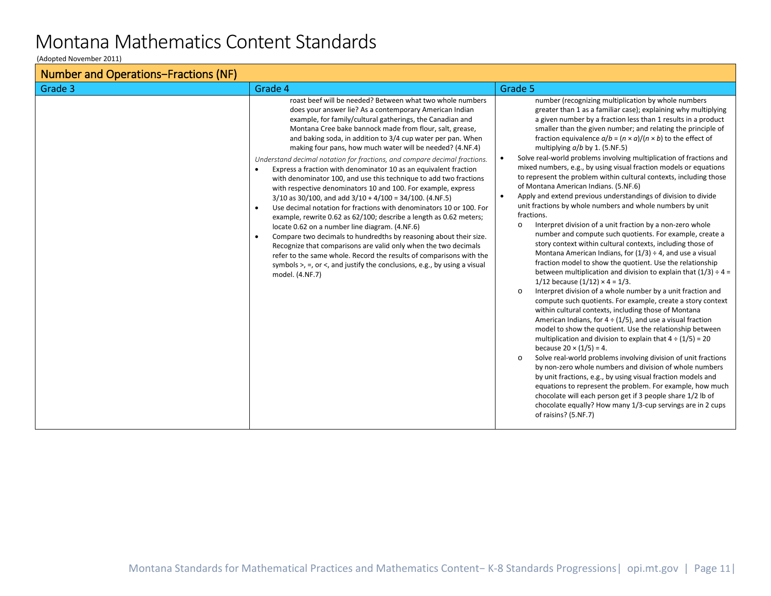(Adopted November 2011)

#### Number and Operations−Fractions (NF)

| Grade 3 | Grade 4                                                                                                                                                                                                                                                                                                                                                                                                                                                                                                                                                                                                                                                                                                                                                                                                                                                                                                                                                                                                                                                                                                                                                                                                                                                                                         | Grade 5                                                                                                                                                                                                                                                                                                                                                                                                                                                                                                                                                                                                                                                                                                                                                                                                                                                                                                                                                                                                                                                                                                                                                                                                                                                                                                                                                                                                                                                                                                                                                                                                                                                                                                                                                                                                                                                                                                                                                                                                                                                                                                        |  |  |
|---------|-------------------------------------------------------------------------------------------------------------------------------------------------------------------------------------------------------------------------------------------------------------------------------------------------------------------------------------------------------------------------------------------------------------------------------------------------------------------------------------------------------------------------------------------------------------------------------------------------------------------------------------------------------------------------------------------------------------------------------------------------------------------------------------------------------------------------------------------------------------------------------------------------------------------------------------------------------------------------------------------------------------------------------------------------------------------------------------------------------------------------------------------------------------------------------------------------------------------------------------------------------------------------------------------------|----------------------------------------------------------------------------------------------------------------------------------------------------------------------------------------------------------------------------------------------------------------------------------------------------------------------------------------------------------------------------------------------------------------------------------------------------------------------------------------------------------------------------------------------------------------------------------------------------------------------------------------------------------------------------------------------------------------------------------------------------------------------------------------------------------------------------------------------------------------------------------------------------------------------------------------------------------------------------------------------------------------------------------------------------------------------------------------------------------------------------------------------------------------------------------------------------------------------------------------------------------------------------------------------------------------------------------------------------------------------------------------------------------------------------------------------------------------------------------------------------------------------------------------------------------------------------------------------------------------------------------------------------------------------------------------------------------------------------------------------------------------------------------------------------------------------------------------------------------------------------------------------------------------------------------------------------------------------------------------------------------------------------------------------------------------------------------------------------------------|--|--|
|         | roast beef will be needed? Between what two whole numbers<br>does your answer lie? As a contemporary American Indian<br>example, for family/cultural gatherings, the Canadian and<br>Montana Cree bake bannock made from flour, salt, grease,<br>and baking soda, in addition to 3/4 cup water per pan. When<br>making four pans, how much water will be needed? (4.NF.4)<br>Understand decimal notation for fractions, and compare decimal fractions.<br>Express a fraction with denominator 10 as an equivalent fraction<br>$\bullet$<br>with denominator 100, and use this technique to add two fractions<br>with respective denominators 10 and 100. For example, express<br>$3/10$ as 30/100, and add $3/10 + 4/100 = 34/100$ . (4.NF.5)<br>Use decimal notation for fractions with denominators 10 or 100. For<br>$\bullet$<br>example, rewrite 0.62 as 62/100; describe a length as 0.62 meters;<br>locate 0.62 on a number line diagram. (4.NF.6)<br>Compare two decimals to hundredths by reasoning about their size.<br>$\bullet$<br>Recognize that comparisons are valid only when the two decimals<br>refer to the same whole. Record the results of comparisons with the<br>symbols $>$ , $=$ , or $\lt$ , and justify the conclusions, e.g., by using a visual<br>model. (4.NF.7) | number (recognizing multiplication by whole numbers<br>greater than 1 as a familiar case); explaining why multiplying<br>a given number by a fraction less than 1 results in a product<br>smaller than the given number; and relating the principle of<br>fraction equivalence $a/b = (n \times a)/(n \times b)$ to the effect of<br>multiplying $a/b$ by 1. (5.NF.5)<br>Solve real-world problems involving multiplication of fractions and<br>mixed numbers, e.g., by using visual fraction models or equations<br>to represent the problem within cultural contexts, including those<br>of Montana American Indians. (5.NF.6)<br>Apply and extend previous understandings of division to divide<br>$\bullet$<br>unit fractions by whole numbers and whole numbers by unit<br>fractions.<br>Interpret division of a unit fraction by a non-zero whole<br>$\circ$<br>number and compute such quotients. For example, create a<br>story context within cultural contexts, including those of<br>Montana American Indians, for $(1/3) \div 4$ , and use a visual<br>fraction model to show the quotient. Use the relationship<br>between multiplication and division to explain that $(1/3) \div 4 =$<br>1/12 because $(1/12) \times 4 = 1/3$ .<br>Interpret division of a whole number by a unit fraction and<br>$\circ$<br>compute such quotients. For example, create a story context<br>within cultural contexts, including those of Montana<br>American Indians, for $4 \div (1/5)$ , and use a visual fraction<br>model to show the quotient. Use the relationship between<br>multiplication and division to explain that $4 \div (1/5) = 20$<br>because $20 \times (1/5) = 4$ .<br>Solve real-world problems involving division of unit fractions<br>$\circ$<br>by non-zero whole numbers and division of whole numbers<br>by unit fractions, e.g., by using visual fraction models and<br>equations to represent the problem. For example, how much<br>chocolate will each person get if 3 people share 1/2 lb of<br>chocolate equally? How many 1/3-cup servings are in 2 cups<br>of raisins? (5.NF.7) |  |  |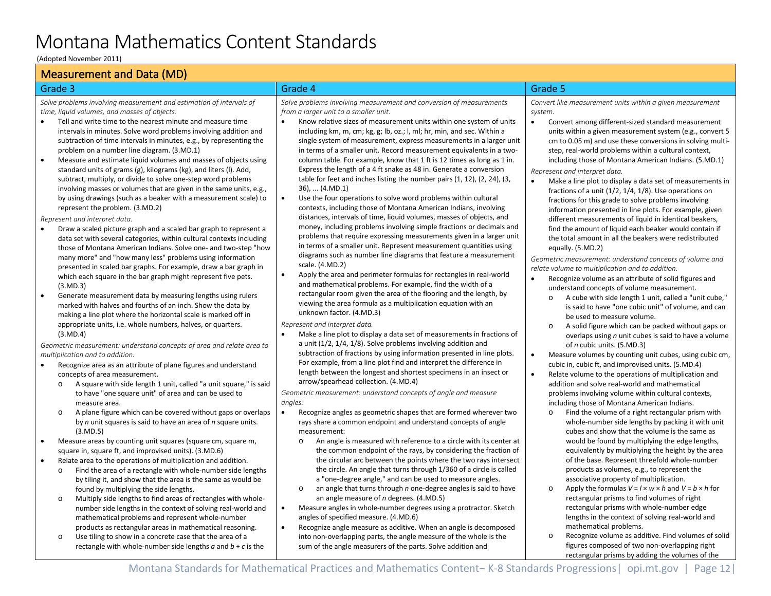(Adopted November 2011)

#### <span id="page-11-0"></span>Measurement and Data (MD)

- Tell and write time to the nearest minute and measure time
- involving masses or volumes that are given in the same units, e.g.,  $\vert$  36), ... (4.MD.1) fractions of a unit (1/2, 1/4, 1/8). Use operations on the same units, e.g., 36), ... (4.MD.1) fractions of a unit (1/2, 1/4, 1/8)

- many more" and "how many less" problems using information presented in scaled bar graphs. For example, draw a bar graph in which each square in the bar graph might represent five pets. (3.MD.3)
- making a line plot where the horizontal scale is marked off in Generate measurement data by measuring lengths using rulers marked with halves and fourths of an inch. Show the data by appropriate units, i.e. whole numbers, halves, or quarters. *Represent and interpret data.* and interpret data set of measurements in fractions of a solid figure which can be packed without gaps or **and interpret data.**

- - o A square with side length 1 unit, called "a unit square," is said arrow/spearhead collection. (4.MD.4) and and measure and solve real-world and mathematical and mathematical discussed and solve real-world and mathematica
	-
- 
- - by tiling it, and show that the area is the same as would be
	- o Multiply side lengths to find areas of rectangles with whole- an angle measure of *n* degrees. (4.MD.5) o Multiply side lengths to find volumes of right<br>number side lengths in the context of solving real-world and **•** Me mathematical problems and represent whole-number angles of specified measure. (4.MD.6)
	- rectangle with whole-number side lengths  $a$  and  $b + c$  is the

Solve problems involving measurement and estimation of intervals of Solve problems involving measurement and conversion of measurements Convert like measurement units within a given measurement *time, liquid volumes, and masses of objects.* from a larger unit to a smaller unit. System. System.

- standard units of grams (g), kilograms (kg), and liters (l). Add, **Express the length of a 4 ft snake as 48** in. Generate a conversion *Represent and interpret data.* intervals in minutes. Solve word problems involving addition and | including km, m, cm; kg, g; lb, oz.; l, ml; hr, min, and sec. Within a incluits within a given measurement system (e.g., convert 5 subtraction of time intervals in minutes, e.g., by representing the single system of measurement, express measurements in a larger unit  $\sim$  cm to 0.05 m) and use these conversions in solving multiproblem on a number line diagram. (3.MD.1) in terms of a smaller unit. Record measurement equivalents in a two- step, real-world problems within a cultural context, • Measure and estimate liquid volumes and masses of objects using column table. For example, know that 1 ft is 12 times as long as 1 in. including those of Montana American Indians. (5.MD.1) subtract, multiply, or divide to solve one-step word problems table for feet and inches listing the number pairs (1, 12), (2, 24), (3, and the solve one of measurements in involving masses or volumes that are given in the
- by using drawings (such as a beaker with a measurement scale) to vertical the four operations to solve word problems within cultural fractions for this grade to solve problems involving<br>
represent the problem. (3.MD.2) inf Represent and interpret data. **distances** and a scaled bar graph to represent a distances, intervals of time, liquid volumes, masses of objects, and different measurements of liquid in identical beakers, no a caled partica Fraw a scaled picture graph and a scaled bar graph to represent a money, including problems involving simple fractions or decimals and find the amount of liquid each beaker would contain if<br>And set with several categories data set with several categories, within cultural contexts including problems that require expressing measurements given in a larger unit the total amount in all the beakers were redistributed those of Montana American Ind those of Montana American Indians. Solve one- and two-step "how  $\parallel$  in terms of a smaller unit. Represent measurement quantities using  $\parallel$  equally. (5.MD.2) diagrams such as number line diagrams that feature a measurement scale. (4.MD.2)
	- Apply the area and perimeter formulas for rectangles in real-world and mathematical problems. For example, find the width of a rectangular room given the area of the flooring and the length, by viewing the area formula as a multiplication equation with an unknown factor. (4.MD.3)

Make a line plot to display a data set of measurements in fractions of a unit (1/2, 1/4, 1/8). Solve problems involving addition and *Geometric measurement: understand concepts of area and relate area to* a unit (1/2, 1/4, 1/8). Solve problems involving addition and **of** *n* a units. (5.MD.3) multiplication and to addition.<br> **e Recognize area as an attribute of plane figures and understand <b>and Fraction of fractions by using information presented in line plots. •** Measure volumes by counting unit cubes, usi Recognize area as an attribute of plane figures and understand For example, from a line plot find and interpret the difference in cubic in, cubic ft, and improvised units. (5.MD.4)<br>
length between the longest and shortest concepts of area measurement.<br>Compare with side length 1 unit called "a unit couare " is said and arrow/spearhead collection. (4.MD.4) and insect or

to have "one square unit" of area and can be used to *Geometric measurement: understand concepts of angle and measure* **problems involving volume within cultural contexts,** measure area. **and angles** area area. *angles.* **angles. angles including those of Montana American Indians.** 

- o A plane figure which can be covered without gaps or overlaps  $\bullet$  Recognize angles as geometric shapes that are formed wherever two  $\bullet$  Find the volume of a right rectangular prism with by *n* unit squares is said to have an area of *n* square units. <br>  $\blacksquare$  rays share a common endpoint and understand concepts of angle and the outphaber side lengths by packing it with unit (3.MD.5) examples and show that the volume is the same as a structure of the same as the same as a structure is the same as a structure is the same as a structure is the same as structure is the same as structure is the sa
- Measure areas by counting unit squares (square cm, square m,  $\qquad \qquad \circ \qquad$  An angle is measured with reference to a circle with its center at  $\qquad \qquad$  would be found by multiplying the edge lengths, square in, square ft, and improvised units). (3.MD.6) **the common endpoint of the rays**, by considering the fraction of equivalently by multiplying the height by the area Relate area to the operations of multiplication and addition. <br>
the circular arc between the points where the two rays intersect | of the base. Represent threefold whole-number o Find the area of a rectangle with whole-number side lengths the circle. An angle that turns through 1/360 of a circle is called products as volumes, e.g., to represent the streament side lengths the same as would be a "o
	- found by multiplying the side lengths.<br>Multiply side lengths to find areas of rectangles with whole-<br>an angle measure of *n* degrees. (4.MD.5) and to have the contingular prisms to find volumes of right
		- Measure angles in whole-number degrees using a protractor. Sketch rectangular prisms with whole-number edge<br>angles of specified measure. (4.MD.6) and in the context of solving real-world and
	- products as rectangular areas in mathematical reasoning.  $\bullet$  Recognize angle measure as additive. When an angle is decomposed mathematical problems. o Use tiling to show in a concrete case that the area of a into non-overlapping parts, the angle measure of the whole is the orienting the Recognize volume as additive. Find volumes of solid into non-overlapping right sum sum of the angle measurers of the parts. Solve addition and

#### Grade 3 Grade 4 Grade 5

- Know relative sizes of measurement units within one system of units  $\bullet$  Convert among different-sized standard measurement
	- information presented in line plots. For example, given

 *relate volume to multiplication and to addition. Geometric measurement: understand concepts of volume and* 

- Recognize volume as an attribute of solid figures and understand concepts of volume measurement.
	- o A cube with side length 1 unit, called a "unit cube," is said to have "one cubic unit" of volume, and can be used to measure volume.
	-
- 
- -
	- Apply the formulas  $V = l \times w \times h$  and  $V = b \times h$  for
	- rectangular prisms by adding the volumes of the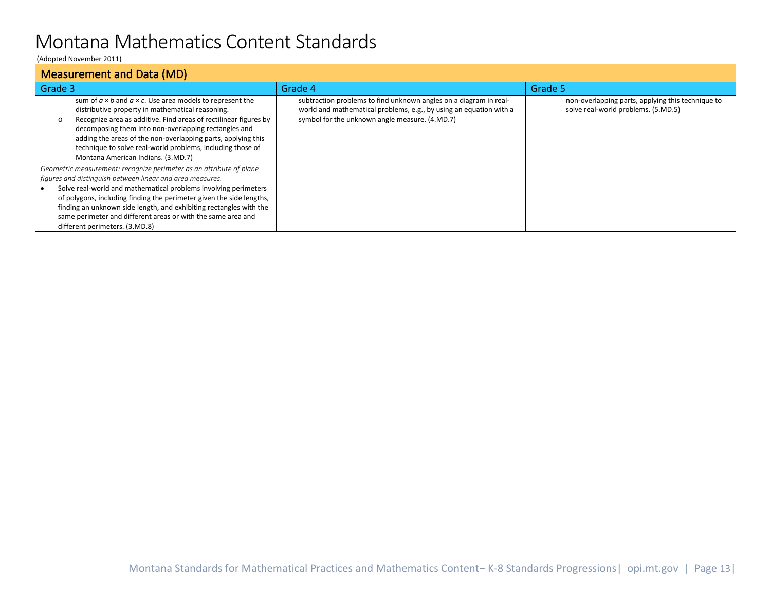| Measurement and Data (MD)                                                                   |                                                                                                                                                                                                                                                                                                                                                                                       |                                                                                                                                                                                           |                                                                                          |
|---------------------------------------------------------------------------------------------|---------------------------------------------------------------------------------------------------------------------------------------------------------------------------------------------------------------------------------------------------------------------------------------------------------------------------------------------------------------------------------------|-------------------------------------------------------------------------------------------------------------------------------------------------------------------------------------------|------------------------------------------------------------------------------------------|
| Grade 3                                                                                     |                                                                                                                                                                                                                                                                                                                                                                                       | Grade 4                                                                                                                                                                                   | Grade 5                                                                                  |
| $\Omega$<br>Montana American Indians. (3.MD.7)                                              | sum of $a \times b$ and $a \times c$ . Use area models to represent the<br>distributive property in mathematical reasoning.<br>Recognize area as additive. Find areas of rectilinear figures by<br>decomposing them into non-overlapping rectangles and<br>adding the areas of the non-overlapping parts, applying this<br>technique to solve real-world problems, including those of | subtraction problems to find unknown angles on a diagram in real-<br>world and mathematical problems, e.g., by using an equation with a<br>symbol for the unknown angle measure. (4.MD.7) | non-overlapping parts, applying this technique to<br>solve real-world problems. (5.MD.5) |
| figures and distinguish between linear and area measures.<br>different perimeters. (3.MD.8) | Geometric measurement: recognize perimeter as an attribute of plane<br>Solve real-world and mathematical problems involving perimeters<br>of polygons, including finding the perimeter given the side lengths,<br>finding an unknown side length, and exhibiting rectangles with the<br>same perimeter and different areas or with the same area and                                  |                                                                                                                                                                                           |                                                                                          |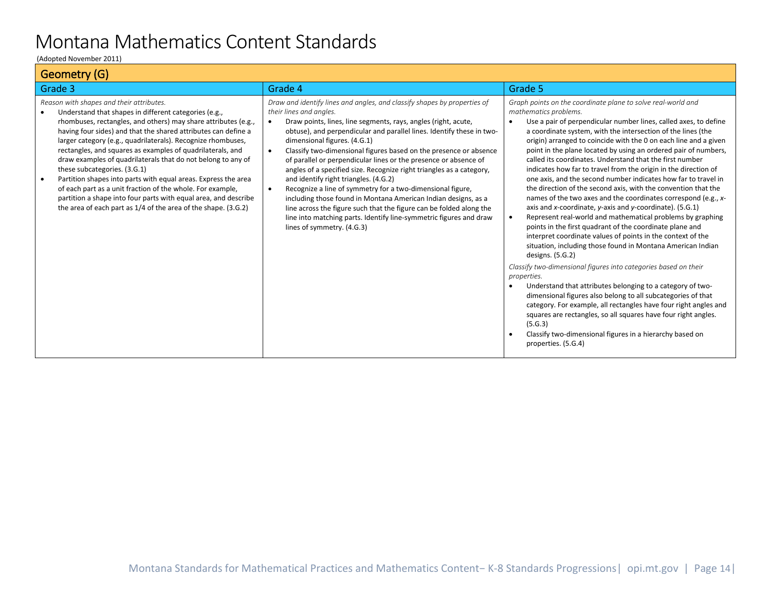(Adopted November 2011)

#### <span id="page-13-0"></span>Geometry (G)

| וטן נווייטיווט                                                                                                                                                                                                                                                                                                                                                                                                                                                                                                                                                                                                                                                                                                                           |                                                                                                                                                                                                                                                                                                                                                                                                                                                                                                                                                                                                                                                                                                                                                                                                                                                                               |                                                                                                                                                                                                                                                                                                                                                                                                                                                                                                                                                                                                                                                                                                                                                                                                                                                                                                                                                                                                                                                                                                                                                                                                                                                                                                                                                                                                                                                                                                     |  |
|------------------------------------------------------------------------------------------------------------------------------------------------------------------------------------------------------------------------------------------------------------------------------------------------------------------------------------------------------------------------------------------------------------------------------------------------------------------------------------------------------------------------------------------------------------------------------------------------------------------------------------------------------------------------------------------------------------------------------------------|-------------------------------------------------------------------------------------------------------------------------------------------------------------------------------------------------------------------------------------------------------------------------------------------------------------------------------------------------------------------------------------------------------------------------------------------------------------------------------------------------------------------------------------------------------------------------------------------------------------------------------------------------------------------------------------------------------------------------------------------------------------------------------------------------------------------------------------------------------------------------------|-----------------------------------------------------------------------------------------------------------------------------------------------------------------------------------------------------------------------------------------------------------------------------------------------------------------------------------------------------------------------------------------------------------------------------------------------------------------------------------------------------------------------------------------------------------------------------------------------------------------------------------------------------------------------------------------------------------------------------------------------------------------------------------------------------------------------------------------------------------------------------------------------------------------------------------------------------------------------------------------------------------------------------------------------------------------------------------------------------------------------------------------------------------------------------------------------------------------------------------------------------------------------------------------------------------------------------------------------------------------------------------------------------------------------------------------------------------------------------------------------------|--|
| Grade 3                                                                                                                                                                                                                                                                                                                                                                                                                                                                                                                                                                                                                                                                                                                                  | Grade 4                                                                                                                                                                                                                                                                                                                                                                                                                                                                                                                                                                                                                                                                                                                                                                                                                                                                       | Grade 5                                                                                                                                                                                                                                                                                                                                                                                                                                                                                                                                                                                                                                                                                                                                                                                                                                                                                                                                                                                                                                                                                                                                                                                                                                                                                                                                                                                                                                                                                             |  |
| Reason with shapes and their attributes.<br>Understand that shapes in different categories (e.g.,<br>rhombuses, rectangles, and others) may share attributes (e.g.,<br>having four sides) and that the shared attributes can define a<br>larger category (e.g., quadrilaterals). Recognize rhombuses,<br>rectangles, and squares as examples of quadrilaterals, and<br>draw examples of quadrilaterals that do not belong to any of<br>these subcategories. (3.G.1)<br>Partition shapes into parts with equal areas. Express the area<br>of each part as a unit fraction of the whole. For example,<br>partition a shape into four parts with equal area, and describe<br>the area of each part as 1/4 of the area of the shape. (3.6.2) | Draw and identify lines and angles, and classify shapes by properties of<br>their lines and angles.<br>Draw points, lines, line segments, rays, angles (right, acute,<br>obtuse), and perpendicular and parallel lines. Identify these in two-<br>dimensional figures. (4.G.1)<br>Classify two-dimensional figures based on the presence or absence<br>$\bullet$<br>of parallel or perpendicular lines or the presence or absence of<br>angles of a specified size. Recognize right triangles as a category,<br>and identify right triangles. (4.G.2)<br>Recognize a line of symmetry for a two-dimensional figure,<br>$\bullet$<br>including those found in Montana American Indian designs, as a<br>line across the figure such that the figure can be folded along the<br>line into matching parts. Identify line-symmetric figures and draw<br>lines of symmetry. (4.G.3) | Graph points on the coordinate plane to solve real-world and<br>mathematics problems.<br>Use a pair of perpendicular number lines, called axes, to define<br>a coordinate system, with the intersection of the lines (the<br>origin) arranged to coincide with the 0 on each line and a given<br>point in the plane located by using an ordered pair of numbers,<br>called its coordinates. Understand that the first number<br>indicates how far to travel from the origin in the direction of<br>one axis, and the second number indicates how far to travel in<br>the direction of the second axis, with the convention that the<br>names of the two axes and the coordinates correspond (e.g., x-<br>axis and x-coordinate, y-axis and y-coordinate). (5.G.1)<br>Represent real-world and mathematical problems by graphing<br>points in the first quadrant of the coordinate plane and<br>interpret coordinate values of points in the context of the<br>situation, including those found in Montana American Indian<br>designs. $(5.G.2)$<br>Classify two-dimensional figures into categories based on their<br>properties.<br>Understand that attributes belonging to a category of two-<br>dimensional figures also belong to all subcategories of that<br>category. For example, all rectangles have four right angles and<br>squares are rectangles, so all squares have four right angles.<br>(5.G.3)<br>Classify two-dimensional figures in a hierarchy based on<br>properties. (5.G.4) |  |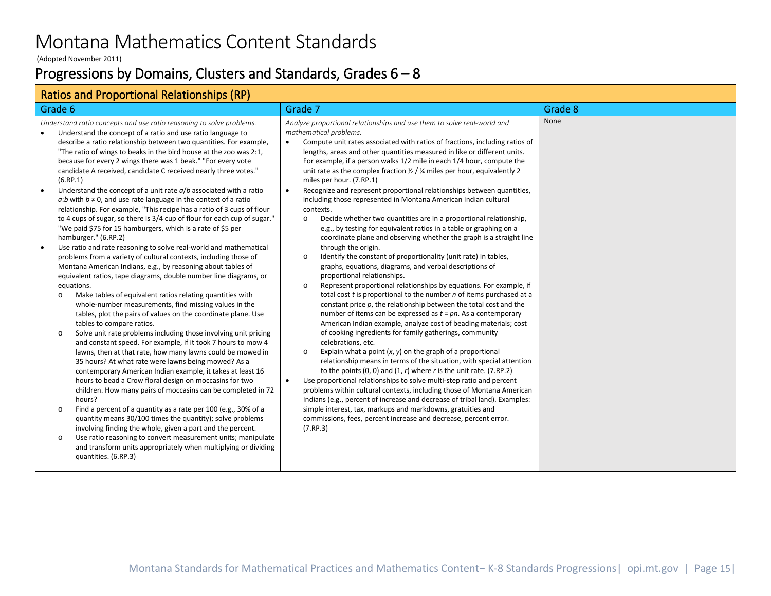(Adopted November 2011)

#### <span id="page-14-0"></span>Progressions by Domains, Clusters and Standards, Grades  $6 - 8$

<span id="page-14-1"></span>

| <b>Ratios and Proportional Relationships (RP)</b>                                                                                                                                                                                                                                                                                                                                                                                                                                                                                                                                                                                                                                                                                                                                                                                                                                                                                                                                                                                                                                                                                                                                                                                                                                                                                                                                                                                                                                                                                                                                                                                                                                                                                                                                                                                                                                                                                                                                                                                                                                                                                                                                                                                    |                                                                                                                                                                                                                                                                                                                                                                                                                                                                                                                                                                                                                                                                                                                                                                                                                                                                                                                                                                                                                                                                                                                                                                                                                                                                                                                                                                                                                                                                                                                                                                                                                                                                                                                                                                                                                                                                                                                                                                                                                                                                                                                                                                              |         |  |
|--------------------------------------------------------------------------------------------------------------------------------------------------------------------------------------------------------------------------------------------------------------------------------------------------------------------------------------------------------------------------------------------------------------------------------------------------------------------------------------------------------------------------------------------------------------------------------------------------------------------------------------------------------------------------------------------------------------------------------------------------------------------------------------------------------------------------------------------------------------------------------------------------------------------------------------------------------------------------------------------------------------------------------------------------------------------------------------------------------------------------------------------------------------------------------------------------------------------------------------------------------------------------------------------------------------------------------------------------------------------------------------------------------------------------------------------------------------------------------------------------------------------------------------------------------------------------------------------------------------------------------------------------------------------------------------------------------------------------------------------------------------------------------------------------------------------------------------------------------------------------------------------------------------------------------------------------------------------------------------------------------------------------------------------------------------------------------------------------------------------------------------------------------------------------------------------------------------------------------------|------------------------------------------------------------------------------------------------------------------------------------------------------------------------------------------------------------------------------------------------------------------------------------------------------------------------------------------------------------------------------------------------------------------------------------------------------------------------------------------------------------------------------------------------------------------------------------------------------------------------------------------------------------------------------------------------------------------------------------------------------------------------------------------------------------------------------------------------------------------------------------------------------------------------------------------------------------------------------------------------------------------------------------------------------------------------------------------------------------------------------------------------------------------------------------------------------------------------------------------------------------------------------------------------------------------------------------------------------------------------------------------------------------------------------------------------------------------------------------------------------------------------------------------------------------------------------------------------------------------------------------------------------------------------------------------------------------------------------------------------------------------------------------------------------------------------------------------------------------------------------------------------------------------------------------------------------------------------------------------------------------------------------------------------------------------------------------------------------------------------------------------------------------------------------|---------|--|
| Grade 6                                                                                                                                                                                                                                                                                                                                                                                                                                                                                                                                                                                                                                                                                                                                                                                                                                                                                                                                                                                                                                                                                                                                                                                                                                                                                                                                                                                                                                                                                                                                                                                                                                                                                                                                                                                                                                                                                                                                                                                                                                                                                                                                                                                                                              | Grade 7                                                                                                                                                                                                                                                                                                                                                                                                                                                                                                                                                                                                                                                                                                                                                                                                                                                                                                                                                                                                                                                                                                                                                                                                                                                                                                                                                                                                                                                                                                                                                                                                                                                                                                                                                                                                                                                                                                                                                                                                                                                                                                                                                                      | Grade 8 |  |
| Understand ratio concepts and use ratio reasoning to solve problems.<br>Understand the concept of a ratio and use ratio language to<br>describe a ratio relationship between two quantities. For example,<br>"The ratio of wings to beaks in the bird house at the zoo was 2:1,<br>because for every 2 wings there was 1 beak." "For every vote<br>candidate A received, candidate C received nearly three votes."<br>(6.RP.1)<br>Understand the concept of a unit rate $a/b$ associated with a ratio<br>$\bullet$<br>$a:b$ with $b \ne 0$ , and use rate language in the context of a ratio<br>relationship. For example, "This recipe has a ratio of 3 cups of flour<br>to 4 cups of sugar, so there is 3/4 cup of flour for each cup of sugar."<br>"We paid \$75 for 15 hamburgers, which is a rate of \$5 per<br>hamburger." (6.RP.2)<br>Use ratio and rate reasoning to solve real-world and mathematical<br>$\bullet$<br>problems from a variety of cultural contexts, including those of<br>Montana American Indians, e.g., by reasoning about tables of<br>equivalent ratios, tape diagrams, double number line diagrams, or<br>equations.<br>Make tables of equivalent ratios relating quantities with<br>$\circ$<br>whole-number measurements, find missing values in the<br>tables, plot the pairs of values on the coordinate plane. Use<br>tables to compare ratios.<br>Solve unit rate problems including those involving unit pricing<br>$\circ$<br>and constant speed. For example, if it took 7 hours to mow 4<br>lawns, then at that rate, how many lawns could be mowed in<br>35 hours? At what rate were lawns being mowed? As a<br>contemporary American Indian example, it takes at least 16<br>hours to bead a Crow floral design on moccasins for two<br>children. How many pairs of moccasins can be completed in 72<br>hours?<br>Find a percent of a quantity as a rate per 100 (e.g., 30% of a<br>$\circ$<br>quantity means 30/100 times the quantity); solve problems<br>involving finding the whole, given a part and the percent.<br>Use ratio reasoning to convert measurement units; manipulate<br>$\circ$<br>and transform units appropriately when multiplying or dividing<br>quantities. (6.RP.3) | Analyze proportional relationships and use them to solve real-world and<br>mathematical problems.<br>Compute unit rates associated with ratios of fractions, including ratios of<br>$\bullet$<br>lengths, areas and other quantities measured in like or different units.<br>For example, if a person walks 1/2 mile in each 1/4 hour, compute the<br>unit rate as the complex fraction $\frac{1}{2}$ / $\frac{1}{4}$ miles per hour, equivalently 2<br>miles per hour. (7.RP.1)<br>Recognize and represent proportional relationships between quantities,<br>$\bullet$<br>including those represented in Montana American Indian cultural<br>contexts.<br>Decide whether two quantities are in a proportional relationship,<br>$\circ$<br>e.g., by testing for equivalent ratios in a table or graphing on a<br>coordinate plane and observing whether the graph is a straight line<br>through the origin.<br>Identify the constant of proportionality (unit rate) in tables,<br>$\circ$<br>graphs, equations, diagrams, and verbal descriptions of<br>proportional relationships.<br>Represent proportional relationships by equations. For example, if<br>$\circ$<br>total cost $t$ is proportional to the number $n$ of items purchased at a<br>constant price $p$ , the relationship between the total cost and the<br>number of items can be expressed as $t = pn$ . As a contemporary<br>American Indian example, analyze cost of beading materials; cost<br>of cooking ingredients for family gatherings, community<br>celebrations, etc.<br>Explain what a point $(x, y)$ on the graph of a proportional<br>$\circ$<br>relationship means in terms of the situation, with special attention<br>to the points $(0, 0)$ and $(1, r)$ where r is the unit rate. $(7.RP.2)$<br>Use proportional relationships to solve multi-step ratio and percent<br>$\bullet$<br>problems within cultural contexts, including those of Montana American<br>Indians (e.g., percent of increase and decrease of tribal land). Examples:<br>simple interest, tax, markups and markdowns, gratuities and<br>commissions, fees, percent increase and decrease, percent error.<br>(7.RP.3) | None    |  |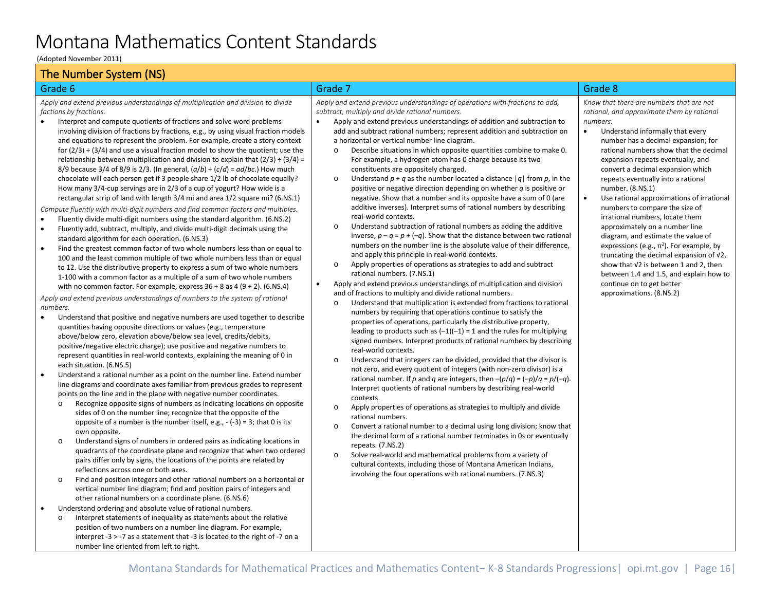(Adopted November 2011)

#### <span id="page-15-0"></span>The Number System (NS)

#### Grade 6 Grade 7 Grade 8

Apply and extend previous understandings of multiplication and division to divide Apply and extend previous understandings of operations with fractions to add, Know that there are numbers that are not *factions by fractions.* subtract, multiply and divide rational numbers. *subtract, multiply and divide rational numbers.* 

8/9 because 3/4 of 8/9 is 2/3. (In general,  $(a/b)$  ÷  $(c/d)$  =  $ad/bc$ .) How much constituents are oppositely charged. convert a convert a decimal expansion which for (2/3) ÷ (3/4) and use a visual fraction model to show the quotient; use the obseribe situations in which opposite quantities combine to make 0. relational numbers show that the decimal relationship between multiplicat relationship between multiplication and division to explain that  $(2/3) \div (3/4) =$ chocolate will each person get if 3 people share 1/2 lb of chocolate equally? <br>How many 3/4-cup servings are in 2/3 of a cup of yogurt? How wide is a positive or negative direction depending on whether *q* is positive or How many 3/4-cup servings are in 2/3 of a cup of yogurt? How wide is a positive or negative direction depending on whether *q* is positive or number. (8.NS.1) rectangular strip of land with length 3/4 mi and area 1/2 square mi? (6.NS.1) negative. Show that a number and its opposite have a sum of 0 (are  $\bullet$  Use rational approximations of irrational

- Fluently divide multi-digit numbers using the standard algorithm. (6.NS.2) real-world contexts. in the standard and the standard algorithm. (6.NS.2) real-world contexts. and incomplexistion of rational numbers, as adding
- 
- Find the greatest common factor of two whole numbers less than or equal to 100 and the least common multiple of two whole numbers less than or equal to 12. Use the distributive property to express a sum of two whole numbers 1-100 with a common factor as a multiple of a sum of two whole numbers rational numbers. (7.NS.1) between 1.4 and 1.5, and explain how to<br>with no common factor For example, express 36 + 8 as 4 (9 + 3). (6.NS.4) with no common factor. For example, express  $36 + 8$  as  $4 (9 + 2)$ . (6.NS.4)

 *Apply and extend previous understandings of numbers to the system of rational numbers.* 

- Understand that positive and negative numbers are used together to describe quantities having opposite directions or values (e.g., temperature above/below zero, elevation above/below sea level, credits/debits, positive/negative electric charge); use positive and negative numbers to represent quantities in real-world contexts, explaining the meaning of 0 in each situation. (6.NS.5)
- Understand a rational number as a point on the number line. Extend number line diagrams and coordinate axes familiar from previous grades to represent points on the line and in the plane with negative number coordinates.
	- o Recognize opposite signs of numbers as indicating locations on opposite sides of 0 on the number line; recognize that the opposite of the opposite of a number is the number itself, e.g.,  $-(-3) = 3$ ; that 0 is its own opposite.
	- o Understand signs of numbers in ordered pairs as indicating locations in quadrants of the coordinate plane and recognize that when two ordered pairs differ only by signs, the locations of the points are related by reflections across one or both axes.
	- o Find and position integers and other rational numbers on a horizontal or vertical number line diagram; find and position pairs of integers and other rational numbers on a coordinate plane. (6.NS.6)
- Understand ordering and absolute value of rational numbers.
- o Interpret statements of inequality as statements about the relative position of two numbers on a number line diagram. For example, interpret -3 > -7 as a statement that -3 is located to the right of -7 on a number line oriented from left to right.

- Interpret and compute quotients of fractions and solve word problems Apply and extend previous understandings of addition and subtraction to *numbers.*  involving division of fractions by fractions, e.g., by using visual fraction models add and subtract rational numbers; represent addition and subtraction on  $\bullet$  Understand informally that every and equations to represent the problem. For example, create a story context a horizontal or vertical number line diagram.
	-
- *Compute fluently with multi-digit numbers and find common factors and multiples.* additive inverses). Interpret sums of rational numbers by describing numbers to compare the size of exactors of the size of the muniti-digi
	- standard algorithm for each operation. (6.NS.3)  $\overline{a}$  inverse,  $p q = p + (-q)$ . Show that the distance between two rational diagram, and estimate the value of numbers on the number line is the absolute value of their difference, Fluently add, subtract, multiply, and divide multi-digit decimals using the **proximal provide the of Understand subtraction** of rational numbers as adding the additive approximately on a number line is approximately on a and apply this principle in real-world contexts.
		- o Apply properties of operations as strategies to add and subtract

and of fractions to multiply and divide rational numbers.

- numbers by requiring that operations continue to satisfy the leading to products such as  $(-1)(-1) = 1$  and the rules for multiplying o Understand that multiplication is extended from fractions to rational properties of operations, particularly the distributive property, signed numbers. Interpret products of rational numbers by describing real-world contexts.
- rational number. If *p* and *q* are integers, then –(*p*/*q*) = (–*p*)/*q* = *p*/(–*q*). o Understand that integers can be divided, provided that the divisor is not zero, and every quotient of integers (with non-zero divisor) is a Interpret quotients of rational numbers by describing real-world contexts.
- o Apply properties of operations as strategies to multiply and divide rational numbers.
- o Convert a rational number to a decimal using long division; know that the decimal form of a rational number terminates in 0s or eventually repeats. (7.NS.2)
- o Solve real-world and mathematical problems from a variety of cultural contexts, including those of Montana American Indians, involving the four operations with rational numbers. (7.NS.3)

rational, and approximate them by rational

- 
- (e.g.,  $\pi^2$ ). For example, by truncating the decimal expansion of √2, show that √2 is between 1 and 2, then approximations. (8.NS.2)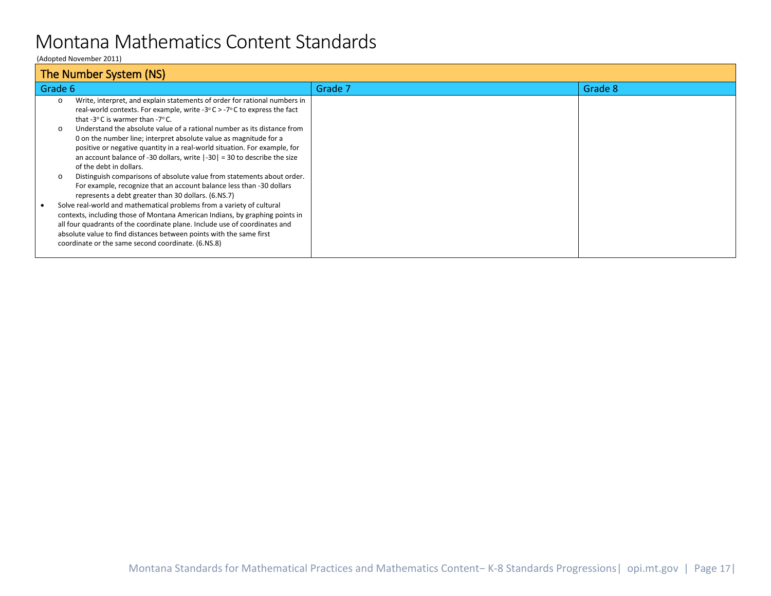| The Number System (NS)                                                                                                                                                                                                                                                                                                                                                                                                                                                                                                                                                                                                                                                                                                                                                                                                                                                                                                                                                                                                                                                                                                                                                              |         |         |  |
|-------------------------------------------------------------------------------------------------------------------------------------------------------------------------------------------------------------------------------------------------------------------------------------------------------------------------------------------------------------------------------------------------------------------------------------------------------------------------------------------------------------------------------------------------------------------------------------------------------------------------------------------------------------------------------------------------------------------------------------------------------------------------------------------------------------------------------------------------------------------------------------------------------------------------------------------------------------------------------------------------------------------------------------------------------------------------------------------------------------------------------------------------------------------------------------|---------|---------|--|
| Grade 6                                                                                                                                                                                                                                                                                                                                                                                                                                                                                                                                                                                                                                                                                                                                                                                                                                                                                                                                                                                                                                                                                                                                                                             | Grade 7 | Grade 8 |  |
| Write, interpret, and explain statements of order for rational numbers in<br>$\circ$<br>real-world contexts. For example, write $-3^{\circ}$ C $> -7^{\circ}$ C to express the fact<br>that $-3^{\circ}$ C is warmer than $-7^{\circ}$ C.<br>Understand the absolute value of a rational number as its distance from<br>$\Omega$<br>0 on the number line; interpret absolute value as magnitude for a<br>positive or negative quantity in a real-world situation. For example, for<br>an account balance of -30 dollars, write $ -30 $ = 30 to describe the size<br>of the debt in dollars.<br>Distinguish comparisons of absolute value from statements about order.<br>$\circ$<br>For example, recognize that an account balance less than -30 dollars<br>represents a debt greater than 30 dollars. (6.NS.7)<br>Solve real-world and mathematical problems from a variety of cultural<br>contexts, including those of Montana American Indians, by graphing points in<br>all four quadrants of the coordinate plane. Include use of coordinates and<br>absolute value to find distances between points with the same first<br>coordinate or the same second coordinate. (6.NS.8) |         |         |  |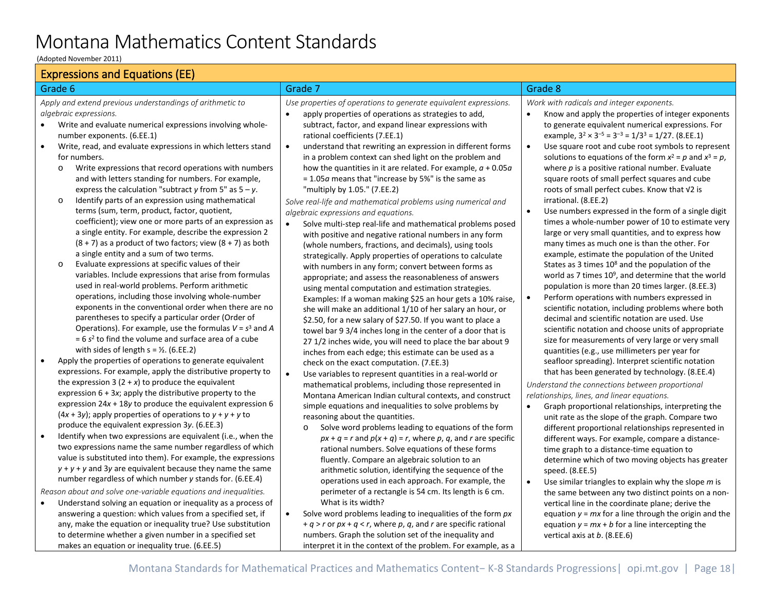(Adopted November 2011)

#### <span id="page-17-0"></span>Expressions and Equations (EE)

| EXPLESSIONS AND EQUALIONS (EE) |                                                                                                                                                                                                                                                                                                                                                                                                                                                                                                                                                                                                                                                                                                                                                                                                                                                                                                                                                                                                                                                                                                                                                                                                                                                                                                                                                                                                                                                                                                                                                                                                                                                                                                                                                                                                                                                                                                                                                                                  |                                                                                                                                                                                                                                                                                                                                                                                                                                                                                                                                                                                                                                                                                                                                                                                                                                                                                                                                                                                                                                                                                                                                                                                                                                                                                                                                                                                                                                                                                                                                                                                                                                                                                                                                                                                                                                                                                                                                                                                                                                   |                                                                                                                                                                                                                                                                                                                                                                                                                                                                                                                                                                                                                                                                                                                                                                                                                                                                                                                                                                                                                                                                                                                                                                                                                                                                                                                                                                                                                                                                                                                                                                                                                                                                                                                                                                                                                                                                               |  |
|--------------------------------|----------------------------------------------------------------------------------------------------------------------------------------------------------------------------------------------------------------------------------------------------------------------------------------------------------------------------------------------------------------------------------------------------------------------------------------------------------------------------------------------------------------------------------------------------------------------------------------------------------------------------------------------------------------------------------------------------------------------------------------------------------------------------------------------------------------------------------------------------------------------------------------------------------------------------------------------------------------------------------------------------------------------------------------------------------------------------------------------------------------------------------------------------------------------------------------------------------------------------------------------------------------------------------------------------------------------------------------------------------------------------------------------------------------------------------------------------------------------------------------------------------------------------------------------------------------------------------------------------------------------------------------------------------------------------------------------------------------------------------------------------------------------------------------------------------------------------------------------------------------------------------------------------------------------------------------------------------------------------------|-----------------------------------------------------------------------------------------------------------------------------------------------------------------------------------------------------------------------------------------------------------------------------------------------------------------------------------------------------------------------------------------------------------------------------------------------------------------------------------------------------------------------------------------------------------------------------------------------------------------------------------------------------------------------------------------------------------------------------------------------------------------------------------------------------------------------------------------------------------------------------------------------------------------------------------------------------------------------------------------------------------------------------------------------------------------------------------------------------------------------------------------------------------------------------------------------------------------------------------------------------------------------------------------------------------------------------------------------------------------------------------------------------------------------------------------------------------------------------------------------------------------------------------------------------------------------------------------------------------------------------------------------------------------------------------------------------------------------------------------------------------------------------------------------------------------------------------------------------------------------------------------------------------------------------------------------------------------------------------------------------------------------------------|-------------------------------------------------------------------------------------------------------------------------------------------------------------------------------------------------------------------------------------------------------------------------------------------------------------------------------------------------------------------------------------------------------------------------------------------------------------------------------------------------------------------------------------------------------------------------------------------------------------------------------------------------------------------------------------------------------------------------------------------------------------------------------------------------------------------------------------------------------------------------------------------------------------------------------------------------------------------------------------------------------------------------------------------------------------------------------------------------------------------------------------------------------------------------------------------------------------------------------------------------------------------------------------------------------------------------------------------------------------------------------------------------------------------------------------------------------------------------------------------------------------------------------------------------------------------------------------------------------------------------------------------------------------------------------------------------------------------------------------------------------------------------------------------------------------------------------------------------------------------------------|--|
|                                | Grade 6                                                                                                                                                                                                                                                                                                                                                                                                                                                                                                                                                                                                                                                                                                                                                                                                                                                                                                                                                                                                                                                                                                                                                                                                                                                                                                                                                                                                                                                                                                                                                                                                                                                                                                                                                                                                                                                                                                                                                                          | Grade 7                                                                                                                                                                                                                                                                                                                                                                                                                                                                                                                                                                                                                                                                                                                                                                                                                                                                                                                                                                                                                                                                                                                                                                                                                                                                                                                                                                                                                                                                                                                                                                                                                                                                                                                                                                                                                                                                                                                                                                                                                           | Grade 8                                                                                                                                                                                                                                                                                                                                                                                                                                                                                                                                                                                                                                                                                                                                                                                                                                                                                                                                                                                                                                                                                                                                                                                                                                                                                                                                                                                                                                                                                                                                                                                                                                                                                                                                                                                                                                                                       |  |
| $\bullet$<br>$\bullet$         | Apply and extend previous understandings of arithmetic to<br>algebraic expressions.<br>Write and evaluate numerical expressions involving whole-<br>number exponents. (6.EE.1)<br>Write, read, and evaluate expressions in which letters stand<br>for numbers.<br>Write expressions that record operations with numbers<br>$\circ$<br>and with letters standing for numbers. For example,<br>express the calculation "subtract y from 5" as $5 - y$ .<br>Identify parts of an expression using mathematical<br>$\circ$<br>terms (sum, term, product, factor, quotient,<br>coefficient); view one or more parts of an expression as<br>a single entity. For example, describe the expression 2<br>$(8 + 7)$ as a product of two factors; view $(8 + 7)$ as both<br>a single entity and a sum of two terms.<br>Evaluate expressions at specific values of their<br>$\circ$<br>variables. Include expressions that arise from formulas<br>used in real-world problems. Perform arithmetic<br>operations, including those involving whole-number<br>exponents in the conventional order when there are no<br>parentheses to specify a particular order (Order of<br>Operations). For example, use the formulas $V = s^3$ and A<br>$= 6 s2$ to find the volume and surface area of a cube<br>with sides of length $s = \frac{1}{2}$ . (6.EE.2)<br>Apply the properties of operations to generate equivalent<br>expressions. For example, apply the distributive property to<br>the expression 3 $(2 + x)$ to produce the equivalent<br>expression $6 + 3x$ ; apply the distributive property to the<br>expression $24x + 18y$ to produce the equivalent expression 6<br>$(4x + 3y)$ ; apply properties of operations to $y + y + y$ to<br>produce the equivalent expression 3y. (6.EE.3)<br>Identify when two expressions are equivalent (i.e., when the<br>two expressions name the same number regardless of which<br>value is substituted into them). For example, the expressions | Use properties of operations to generate equivalent expressions.<br>apply properties of operations as strategies to add,<br>subtract, factor, and expand linear expressions with<br>rational coefficients (7.EE.1)<br>understand that rewriting an expression in different forms<br>$\bullet$<br>in a problem context can shed light on the problem and<br>how the quantities in it are related. For example, $a + 0.05a$<br>$= 1.05a$ means that "increase by 5%" is the same as<br>"multiply by 1.05." (7.EE.2)<br>Solve real-life and mathematical problems using numerical and<br>algebraic expressions and equations.<br>$\bullet$<br>Solve multi-step real-life and mathematical problems posed<br>with positive and negative rational numbers in any form<br>(whole numbers, fractions, and decimals), using tools<br>strategically. Apply properties of operations to calculate<br>with numbers in any form; convert between forms as<br>appropriate; and assess the reasonableness of answers<br>using mental computation and estimation strategies.<br>Examples: If a woman making \$25 an hour gets a 10% raise,<br>she will make an additional 1/10 of her salary an hour, or<br>\$2.50, for a new salary of \$27.50. If you want to place a<br>towel bar 9 3/4 inches long in the center of a door that is<br>27 1/2 inches wide, you will need to place the bar about 9<br>inches from each edge; this estimate can be used as a<br>check on the exact computation. (7.EE.3)<br>Use variables to represent quantities in a real-world or<br>$\bullet$<br>mathematical problems, including those represented in<br>Montana American Indian cultural contexts, and construct<br>simple equations and inequalities to solve problems by<br>reasoning about the quantities.<br>Solve word problems leading to equations of the form<br>$\circ$<br>$px + q = r$ and $p(x + q) = r$ , where p, q, and r are specific<br>rational numbers. Solve equations of these forms<br>fluently. Compare an algebraic solution to an | Work with radicals and integer exponents.<br>Know and apply the properties of integer exponents<br>to generate equivalent numerical expressions. For<br>example, $3^2 \times 3^{-5} = 3^{-3} = 1/3^3 = 1/27$ . (8.EE.1)<br>Use square root and cube root symbols to represent<br>$\bullet$<br>solutions to equations of the form $x^2 = p$ and $x^3 = p$ ,<br>where $p$ is a positive rational number. Evaluate<br>square roots of small perfect squares and cube<br>roots of small perfect cubes. Know that V2 is<br>irrational. (8.EE.2)<br>Use numbers expressed in the form of a single digit<br>$\bullet$<br>times a whole-number power of 10 to estimate very<br>large or very small quantities, and to express how<br>many times as much one is than the other. For<br>example, estimate the population of the United<br>States as 3 times 10 <sup>8</sup> and the population of the<br>world as 7 times $109$ , and determine that the world<br>population is more than 20 times larger. (8.EE.3)<br>Perform operations with numbers expressed in<br>$\bullet$<br>scientific notation, including problems where both<br>decimal and scientific notation are used. Use<br>scientific notation and choose units of appropriate<br>size for measurements of very large or very small<br>quantities (e.g., use millimeters per year for<br>seafloor spreading). Interpret scientific notation<br>that has been generated by technology. (8.EE.4)<br>Understand the connections between proportional<br>relationships, lines, and linear equations.<br>Graph proportional relationships, interpreting the<br>unit rate as the slope of the graph. Compare two<br>different proportional relationships represented in<br>different ways. For example, compare a distance-<br>time graph to a distance-time equation to<br>determine which of two moving objects has greater |  |
| $\bullet$                      | $y + y + y$ and 3y are equivalent because they name the same<br>number regardless of which number y stands for. (6.EE.4)<br>Reason about and solve one-variable equations and inequalities.<br>Understand solving an equation or inequality as a process of<br>answering a question: which values from a specified set, if<br>any, make the equation or inequality true? Use substitution                                                                                                                                                                                                                                                                                                                                                                                                                                                                                                                                                                                                                                                                                                                                                                                                                                                                                                                                                                                                                                                                                                                                                                                                                                                                                                                                                                                                                                                                                                                                                                                        | arithmetic solution, identifying the sequence of the<br>operations used in each approach. For example, the<br>perimeter of a rectangle is 54 cm. Its length is 6 cm.<br>What is its width?<br>Solve word problems leading to inequalities of the form px<br>$\bullet$<br>+ $q$ > r or $px$ + $q$ < r, where $p$ , $q$ , and r are specific rational                                                                                                                                                                                                                                                                                                                                                                                                                                                                                                                                                                                                                                                                                                                                                                                                                                                                                                                                                                                                                                                                                                                                                                                                                                                                                                                                                                                                                                                                                                                                                                                                                                                                               | speed. (8.EE.5)<br>Use similar triangles to explain why the slope $m$ is<br>$\bullet$<br>the same between any two distinct points on a non-<br>vertical line in the coordinate plane; derive the<br>equation $y = mx$ for a line through the origin and the<br>equation $y = mx + b$ for a line intercepting the                                                                                                                                                                                                                                                                                                                                                                                                                                                                                                                                                                                                                                                                                                                                                                                                                                                                                                                                                                                                                                                                                                                                                                                                                                                                                                                                                                                                                                                                                                                                                              |  |
|                                | to determine whether a given number in a specified set<br>makes an equation or inequality true. (6.EE.5)                                                                                                                                                                                                                                                                                                                                                                                                                                                                                                                                                                                                                                                                                                                                                                                                                                                                                                                                                                                                                                                                                                                                                                                                                                                                                                                                                                                                                                                                                                                                                                                                                                                                                                                                                                                                                                                                         | numbers. Graph the solution set of the inequality and<br>interpret it in the context of the problem. For example, as a                                                                                                                                                                                                                                                                                                                                                                                                                                                                                                                                                                                                                                                                                                                                                                                                                                                                                                                                                                                                                                                                                                                                                                                                                                                                                                                                                                                                                                                                                                                                                                                                                                                                                                                                                                                                                                                                                                            | vertical axis at b. (8.EE.6)                                                                                                                                                                                                                                                                                                                                                                                                                                                                                                                                                                                                                                                                                                                                                                                                                                                                                                                                                                                                                                                                                                                                                                                                                                                                                                                                                                                                                                                                                                                                                                                                                                                                                                                                                                                                                                                  |  |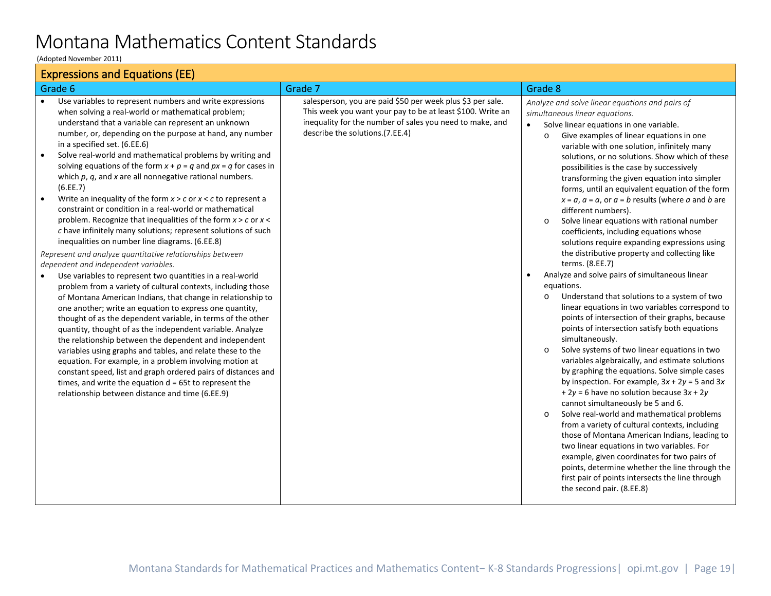| <b>Expressions and Equations (EE)</b>                                                                                                                                                                                                                                                                                                                                                                                                                                                                                                                                                                                                                                                                                                                                                                                                                                                                                                                                                                                                                                                                                                                                                                                                                                                                                                                                                                                                                                                                                                                                                                                                                                                            |                                                                                                                                                                                                                         |                                                                                                                                                                                                                                                                                                                                                                                                                                                                                                                                                                                                                                                                                                                                                                                                                                                                                                                                                                                                                                                                                                                                                                                                                                                                                                                                                                                                                                                                                                                                                                                                                                                                                                                                                         |  |  |
|--------------------------------------------------------------------------------------------------------------------------------------------------------------------------------------------------------------------------------------------------------------------------------------------------------------------------------------------------------------------------------------------------------------------------------------------------------------------------------------------------------------------------------------------------------------------------------------------------------------------------------------------------------------------------------------------------------------------------------------------------------------------------------------------------------------------------------------------------------------------------------------------------------------------------------------------------------------------------------------------------------------------------------------------------------------------------------------------------------------------------------------------------------------------------------------------------------------------------------------------------------------------------------------------------------------------------------------------------------------------------------------------------------------------------------------------------------------------------------------------------------------------------------------------------------------------------------------------------------------------------------------------------------------------------------------------------|-------------------------------------------------------------------------------------------------------------------------------------------------------------------------------------------------------------------------|---------------------------------------------------------------------------------------------------------------------------------------------------------------------------------------------------------------------------------------------------------------------------------------------------------------------------------------------------------------------------------------------------------------------------------------------------------------------------------------------------------------------------------------------------------------------------------------------------------------------------------------------------------------------------------------------------------------------------------------------------------------------------------------------------------------------------------------------------------------------------------------------------------------------------------------------------------------------------------------------------------------------------------------------------------------------------------------------------------------------------------------------------------------------------------------------------------------------------------------------------------------------------------------------------------------------------------------------------------------------------------------------------------------------------------------------------------------------------------------------------------------------------------------------------------------------------------------------------------------------------------------------------------------------------------------------------------------------------------------------------------|--|--|
| Grade 6                                                                                                                                                                                                                                                                                                                                                                                                                                                                                                                                                                                                                                                                                                                                                                                                                                                                                                                                                                                                                                                                                                                                                                                                                                                                                                                                                                                                                                                                                                                                                                                                                                                                                          | Grade 7                                                                                                                                                                                                                 | Grade 8                                                                                                                                                                                                                                                                                                                                                                                                                                                                                                                                                                                                                                                                                                                                                                                                                                                                                                                                                                                                                                                                                                                                                                                                                                                                                                                                                                                                                                                                                                                                                                                                                                                                                                                                                 |  |  |
| Use variables to represent numbers and write expressions<br>when solving a real-world or mathematical problem;<br>understand that a variable can represent an unknown<br>number, or, depending on the purpose at hand, any number<br>in a specified set. (6.EE.6)<br>Solve real-world and mathematical problems by writing and<br>$\bullet$<br>solving equations of the form $x + p = q$ and $px = q$ for cases in<br>which $p$ , $q$ , and $x$ are all nonnegative rational numbers.<br>(6.EE.7)<br>Write an inequality of the form $x > c$ or $x < c$ to represent a<br>$\bullet$<br>constraint or condition in a real-world or mathematical<br>problem. Recognize that inequalities of the form $x > c$ or $x <$<br>c have infinitely many solutions; represent solutions of such<br>inequalities on number line diagrams. (6.EE.8)<br>Represent and analyze quantitative relationships between<br>dependent and independent variables.<br>Use variables to represent two quantities in a real-world<br>problem from a variety of cultural contexts, including those<br>of Montana American Indians, that change in relationship to<br>one another; write an equation to express one quantity,<br>thought of as the dependent variable, in terms of the other<br>quantity, thought of as the independent variable. Analyze<br>the relationship between the dependent and independent<br>variables using graphs and tables, and relate these to the<br>equation. For example, in a problem involving motion at<br>constant speed, list and graph ordered pairs of distances and<br>times, and write the equation $d = 65t$ to represent the<br>relationship between distance and time (6.EE.9) | salesperson, you are paid \$50 per week plus \$3 per sale.<br>This week you want your pay to be at least \$100. Write an<br>inequality for the number of sales you need to make, and<br>describe the solutions.(7.EE.4) | Analyze and solve linear equations and pairs of<br>simultaneous linear equations.<br>Solve linear equations in one variable.<br>$\bullet$<br>Give examples of linear equations in one<br>$\circ$<br>variable with one solution, infinitely many<br>solutions, or no solutions. Show which of these<br>possibilities is the case by successively<br>transforming the given equation into simpler<br>forms, until an equivalent equation of the form<br>$x = a$ , $a = a$ , or $a = b$ results (where a and b are<br>different numbers).<br>Solve linear equations with rational number<br>$\Omega$<br>coefficients, including equations whose<br>solutions require expanding expressions using<br>the distributive property and collecting like<br>terms. (8.EE.7)<br>Analyze and solve pairs of simultaneous linear<br>equations.<br>Understand that solutions to a system of two<br>linear equations in two variables correspond to<br>points of intersection of their graphs, because<br>points of intersection satisfy both equations<br>simultaneously.<br>Solve systems of two linear equations in two<br>variables algebraically, and estimate solutions<br>by graphing the equations. Solve simple cases<br>by inspection. For example, $3x + 2y = 5$ and $3x$<br>+ $2y$ = 6 have no solution because $3x + 2y$<br>cannot simultaneously be 5 and 6.<br>Solve real-world and mathematical problems<br>$\circ$<br>from a variety of cultural contexts, including<br>those of Montana American Indians, leading to<br>two linear equations in two variables. For<br>example, given coordinates for two pairs of<br>points, determine whether the line through the<br>first pair of points intersects the line through<br>the second pair. (8.EE.8) |  |  |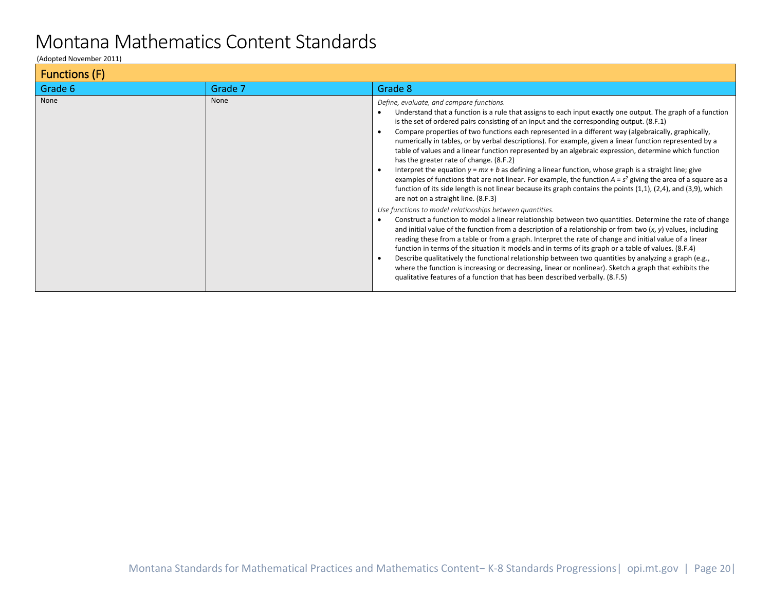<span id="page-19-0"></span>

| <b>Functions (F)</b> |         |                                                                                                                                                                                                                                                                                                                                                                                                                                                                                                                                                                                                                                                                                                                                                                                                                                                                                                                                                                                                                              |  |
|----------------------|---------|------------------------------------------------------------------------------------------------------------------------------------------------------------------------------------------------------------------------------------------------------------------------------------------------------------------------------------------------------------------------------------------------------------------------------------------------------------------------------------------------------------------------------------------------------------------------------------------------------------------------------------------------------------------------------------------------------------------------------------------------------------------------------------------------------------------------------------------------------------------------------------------------------------------------------------------------------------------------------------------------------------------------------|--|
| Grade 6              | Grade 7 | Grade 8                                                                                                                                                                                                                                                                                                                                                                                                                                                                                                                                                                                                                                                                                                                                                                                                                                                                                                                                                                                                                      |  |
| None                 | None    | Define, evaluate, and compare functions.<br>Understand that a function is a rule that assigns to each input exactly one output. The graph of a function<br>is the set of ordered pairs consisting of an input and the corresponding output. (8.F.1)<br>Compare properties of two functions each represented in a different way (algebraically, graphically,<br>numerically in tables, or by verbal descriptions). For example, given a linear function represented by a<br>table of values and a linear function represented by an algebraic expression, determine which function<br>has the greater rate of change. (8.F.2)<br>Interpret the equation $y = mx + b$ as defining a linear function, whose graph is a straight line; give<br>examples of functions that are not linear. For example, the function $A = s^2$ giving the area of a square as a<br>function of its side length is not linear because its graph contains the points $(1,1)$ , $(2,4)$ , and $(3,9)$ , which<br>are not on a straight line. (8.F.3) |  |
|                      |         | Use functions to model relationships between quantities.<br>Construct a function to model a linear relationship between two quantities. Determine the rate of change<br>and initial value of the function from a description of a relationship or from two $(x, y)$ values, including<br>reading these from a table or from a graph. Interpret the rate of change and initial value of a linear<br>function in terms of the situation it models and in terms of its graph or a table of values. (8.F.4)<br>Describe qualitatively the functional relationship between two quantities by analyzing a graph (e.g.,<br>where the function is increasing or decreasing, linear or nonlinear). Sketch a graph that exhibits the<br>qualitative features of a function that has been described verbally. (8.F.5)                                                                                                                                                                                                                   |  |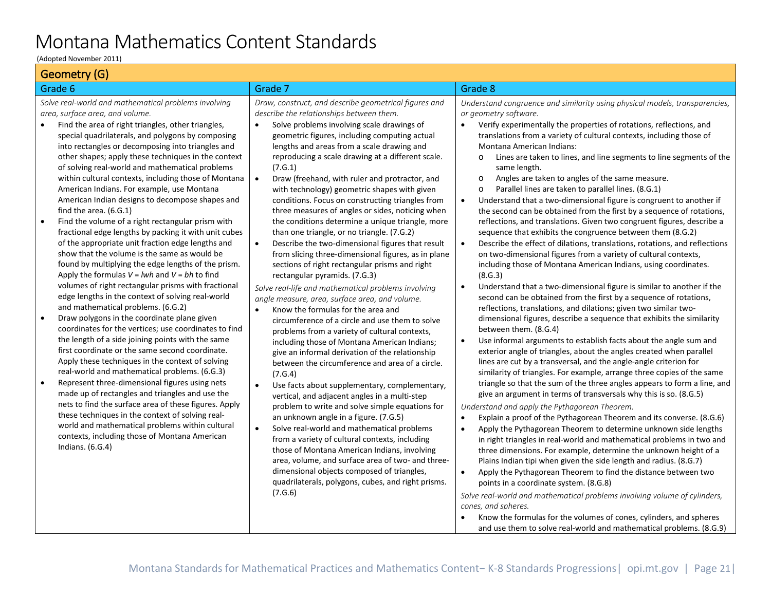<span id="page-20-0"></span>

| Geometry (G)                                                                                                                                                                                                                                                                                                                                                                                                                                                                                                                                                                                                                                                                                                                                                                                                                                                                                                                                                                                                                                                                                                                                                                                                                                                                                                                                                                                                                                                                                                                                                                                                                                                                                                                                    |                                                                                                                                                                                                                                                                                                                                                                                                                                                                                                                                                                                                                                                                                                                                                                                                                                                                                                                                                                                                                                                                                                                                                                                                                                                                                                                                                                                                                                                                                                                                                                                                                                                                                                                                                                                                                                              |                                                                                                                                                                                                                                                                                                                                                                                                                                                                                                                                                                                                                                                                                                                                                                                                                                                                                                                                                                                                                                                                                                                                                                                                                                                                                                                                                                                                                                                                                                                                                                                                                                                                                                                                                                                                                                                                                                                                                                                                                                                                                                                                                                                                                                                                                                                                                                                                                                                                                                                                                                                                                                                                                              |  |
|-------------------------------------------------------------------------------------------------------------------------------------------------------------------------------------------------------------------------------------------------------------------------------------------------------------------------------------------------------------------------------------------------------------------------------------------------------------------------------------------------------------------------------------------------------------------------------------------------------------------------------------------------------------------------------------------------------------------------------------------------------------------------------------------------------------------------------------------------------------------------------------------------------------------------------------------------------------------------------------------------------------------------------------------------------------------------------------------------------------------------------------------------------------------------------------------------------------------------------------------------------------------------------------------------------------------------------------------------------------------------------------------------------------------------------------------------------------------------------------------------------------------------------------------------------------------------------------------------------------------------------------------------------------------------------------------------------------------------------------------------|----------------------------------------------------------------------------------------------------------------------------------------------------------------------------------------------------------------------------------------------------------------------------------------------------------------------------------------------------------------------------------------------------------------------------------------------------------------------------------------------------------------------------------------------------------------------------------------------------------------------------------------------------------------------------------------------------------------------------------------------------------------------------------------------------------------------------------------------------------------------------------------------------------------------------------------------------------------------------------------------------------------------------------------------------------------------------------------------------------------------------------------------------------------------------------------------------------------------------------------------------------------------------------------------------------------------------------------------------------------------------------------------------------------------------------------------------------------------------------------------------------------------------------------------------------------------------------------------------------------------------------------------------------------------------------------------------------------------------------------------------------------------------------------------------------------------------------------------|----------------------------------------------------------------------------------------------------------------------------------------------------------------------------------------------------------------------------------------------------------------------------------------------------------------------------------------------------------------------------------------------------------------------------------------------------------------------------------------------------------------------------------------------------------------------------------------------------------------------------------------------------------------------------------------------------------------------------------------------------------------------------------------------------------------------------------------------------------------------------------------------------------------------------------------------------------------------------------------------------------------------------------------------------------------------------------------------------------------------------------------------------------------------------------------------------------------------------------------------------------------------------------------------------------------------------------------------------------------------------------------------------------------------------------------------------------------------------------------------------------------------------------------------------------------------------------------------------------------------------------------------------------------------------------------------------------------------------------------------------------------------------------------------------------------------------------------------------------------------------------------------------------------------------------------------------------------------------------------------------------------------------------------------------------------------------------------------------------------------------------------------------------------------------------------------------------------------------------------------------------------------------------------------------------------------------------------------------------------------------------------------------------------------------------------------------------------------------------------------------------------------------------------------------------------------------------------------------------------------------------------------------------------------------------------------|--|
| Grade 6                                                                                                                                                                                                                                                                                                                                                                                                                                                                                                                                                                                                                                                                                                                                                                                                                                                                                                                                                                                                                                                                                                                                                                                                                                                                                                                                                                                                                                                                                                                                                                                                                                                                                                                                         | Grade 7                                                                                                                                                                                                                                                                                                                                                                                                                                                                                                                                                                                                                                                                                                                                                                                                                                                                                                                                                                                                                                                                                                                                                                                                                                                                                                                                                                                                                                                                                                                                                                                                                                                                                                                                                                                                                                      | Grade 8                                                                                                                                                                                                                                                                                                                                                                                                                                                                                                                                                                                                                                                                                                                                                                                                                                                                                                                                                                                                                                                                                                                                                                                                                                                                                                                                                                                                                                                                                                                                                                                                                                                                                                                                                                                                                                                                                                                                                                                                                                                                                                                                                                                                                                                                                                                                                                                                                                                                                                                                                                                                                                                                                      |  |
| Solve real-world and mathematical problems involving<br>area, surface area, and volume.<br>Find the area of right triangles, other triangles,<br>special quadrilaterals, and polygons by composing<br>into rectangles or decomposing into triangles and<br>other shapes; apply these techniques in the context<br>of solving real-world and mathematical problems<br>within cultural contexts, including those of Montana<br>American Indians. For example, use Montana<br>American Indian designs to decompose shapes and<br>find the area. $(6.6.1)$<br>Find the volume of a right rectangular prism with<br>$\bullet$<br>fractional edge lengths by packing it with unit cubes<br>of the appropriate unit fraction edge lengths and<br>show that the volume is the same as would be<br>found by multiplying the edge lengths of the prism.<br>Apply the formulas $V = lwh$ and $V = bh$ to find<br>volumes of right rectangular prisms with fractional<br>edge lengths in the context of solving real-world<br>and mathematical problems. (6.G.2)<br>Draw polygons in the coordinate plane given<br>$\bullet$<br>coordinates for the vertices; use coordinates to find<br>the length of a side joining points with the same<br>first coordinate or the same second coordinate.<br>Apply these techniques in the context of solving<br>real-world and mathematical problems. (6.G.3)<br>Represent three-dimensional figures using nets<br>$\bullet$<br>made up of rectangles and triangles and use the<br>nets to find the surface area of these figures. Apply<br>these techniques in the context of solving real-<br>world and mathematical problems within cultural<br>contexts, including those of Montana American<br>Indians. $(6.6.4)$ | Draw, construct, and describe geometrical figures and<br>describe the relationships between them.<br>Solve problems involving scale drawings of<br>$\bullet$<br>geometric figures, including computing actual<br>lengths and areas from a scale drawing and<br>reproducing a scale drawing at a different scale.<br>(7.G.1)<br>Draw (freehand, with ruler and protractor, and<br>$\bullet$<br>with technology) geometric shapes with given<br>conditions. Focus on constructing triangles from<br>three measures of angles or sides, noticing when<br>the conditions determine a unique triangle, more<br>than one triangle, or no triangle. (7.G.2)<br>$\bullet$<br>Describe the two-dimensional figures that result<br>from slicing three-dimensional figures, as in plane<br>sections of right rectangular prisms and right<br>rectangular pyramids. (7.G.3)<br>Solve real-life and mathematical problems involving<br>angle measure, area, surface area, and volume.<br>Know the formulas for the area and<br>$\bullet$<br>circumference of a circle and use them to solve<br>problems from a variety of cultural contexts,<br>including those of Montana American Indians;<br>give an informal derivation of the relationship<br>between the circumference and area of a circle.<br>(7.G.4)<br>Use facts about supplementary, complementary,<br>$\bullet$<br>vertical, and adjacent angles in a multi-step<br>problem to write and solve simple equations for<br>an unknown angle in a figure. (7.G.5)<br>Solve real-world and mathematical problems<br>$\bullet$<br>from a variety of cultural contexts, including<br>those of Montana American Indians, involving<br>area, volume, and surface area of two- and three-<br>dimensional objects composed of triangles,<br>quadrilaterals, polygons, cubes, and right prisms.<br>(7.G.6) | Understand congruence and similarity using physical models, transparencies,<br>or geometry software.<br>$\bullet$<br>Verify experimentally the properties of rotations, reflections, and<br>translations from a variety of cultural contexts, including those of<br>Montana American Indians:<br>Lines are taken to lines, and line segments to line segments of the<br>$\circ$<br>same length.<br>Angles are taken to angles of the same measure.<br>$\circ$<br>Parallel lines are taken to parallel lines. (8.G.1)<br>$\circ$<br>Understand that a two-dimensional figure is congruent to another if<br>$\bullet$<br>the second can be obtained from the first by a sequence of rotations,<br>reflections, and translations. Given two congruent figures, describe a<br>sequence that exhibits the congruence between them (8.G.2)<br>Describe the effect of dilations, translations, rotations, and reflections<br>$\bullet$<br>on two-dimensional figures from a variety of cultural contexts,<br>including those of Montana American Indians, using coordinates.<br>(8.G.3)<br>$\bullet$<br>Understand that a two-dimensional figure is similar to another if the<br>second can be obtained from the first by a sequence of rotations,<br>reflections, translations, and dilations; given two similar two-<br>dimensional figures, describe a sequence that exhibits the similarity<br>between them. (8.G.4)<br>Use informal arguments to establish facts about the angle sum and<br>$\bullet$<br>exterior angle of triangles, about the angles created when parallel<br>lines are cut by a transversal, and the angle-angle criterion for<br>similarity of triangles. For example, arrange three copies of the same<br>triangle so that the sum of the three angles appears to form a line, and<br>give an argument in terms of transversals why this is so. (8.G.5)<br>Understand and apply the Pythagorean Theorem.<br>Explain a proof of the Pythagorean Theorem and its converse. (8.G.6)<br>$\bullet$<br>Apply the Pythagorean Theorem to determine unknown side lengths<br>$\bullet$<br>in right triangles in real-world and mathematical problems in two and<br>three dimensions. For example, determine the unknown height of a<br>Plains Indian tipi when given the side length and radius. (8.G.7)<br>Apply the Pythagorean Theorem to find the distance between two<br>$\bullet$<br>points in a coordinate system. (8.G.8)<br>Solve real-world and mathematical problems involving volume of cylinders,<br>cones, and spheres.<br>Know the formulas for the volumes of cones, cylinders, and spheres<br>and use them to solve real-world and mathematical problems. (8.G.9) |  |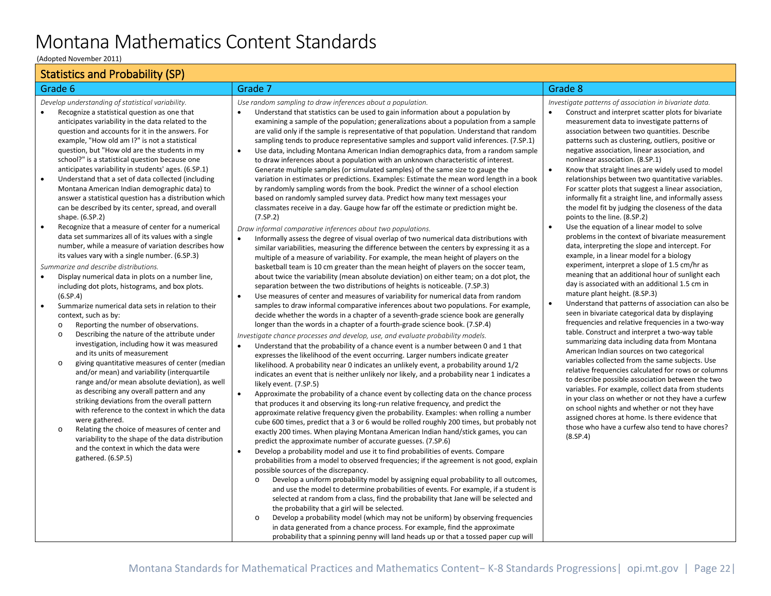<span id="page-21-0"></span>

| <b>Statistics and Probability (SP)</b>                                                                                                                                                                                                                                                                                                                                                                                                                                                                                                                                                                                                                                                                                                                                                                                                                                                                                                                                                                                                                                                                                                                                                                                                                                                                                                                                                                                                                                                                                                                                                                                                                                                                                                                                                                                                                                                               |                                                                                                                                                                                                                                                                                                                                                                                                                                                                                                                                                                                                                                                                                                                                                                                                                                                                                                                                                                                                                                                                                                                                                                                                                                                                                                                                                                                                                                                                                                                                                                                                                                                                                                                                                                                                                                                                                                                                                                                                                                                                                                                                                                                                                                                                                                                                                                                                                                                                                                                                                                                                                                                                                                                                                                                                                                                                                                                                                                                                                                                                                                                                                                                                                                                                                                                                                                                                                                                                                                                                                                                                                                                                                                                                                                                                                                                                                                                                                            |                                                                                                                                                                                                                                                                                                                                                                                                                                                                                                                                                                                                                                                                                                                                                                                                                                                                                                                                                                                                                                                                                                                                                                                                                                                                                                                                                                                                                                                                                                                                                                                                                                                                                                                                                                                                                                                                                      |  |
|------------------------------------------------------------------------------------------------------------------------------------------------------------------------------------------------------------------------------------------------------------------------------------------------------------------------------------------------------------------------------------------------------------------------------------------------------------------------------------------------------------------------------------------------------------------------------------------------------------------------------------------------------------------------------------------------------------------------------------------------------------------------------------------------------------------------------------------------------------------------------------------------------------------------------------------------------------------------------------------------------------------------------------------------------------------------------------------------------------------------------------------------------------------------------------------------------------------------------------------------------------------------------------------------------------------------------------------------------------------------------------------------------------------------------------------------------------------------------------------------------------------------------------------------------------------------------------------------------------------------------------------------------------------------------------------------------------------------------------------------------------------------------------------------------------------------------------------------------------------------------------------------------|------------------------------------------------------------------------------------------------------------------------------------------------------------------------------------------------------------------------------------------------------------------------------------------------------------------------------------------------------------------------------------------------------------------------------------------------------------------------------------------------------------------------------------------------------------------------------------------------------------------------------------------------------------------------------------------------------------------------------------------------------------------------------------------------------------------------------------------------------------------------------------------------------------------------------------------------------------------------------------------------------------------------------------------------------------------------------------------------------------------------------------------------------------------------------------------------------------------------------------------------------------------------------------------------------------------------------------------------------------------------------------------------------------------------------------------------------------------------------------------------------------------------------------------------------------------------------------------------------------------------------------------------------------------------------------------------------------------------------------------------------------------------------------------------------------------------------------------------------------------------------------------------------------------------------------------------------------------------------------------------------------------------------------------------------------------------------------------------------------------------------------------------------------------------------------------------------------------------------------------------------------------------------------------------------------------------------------------------------------------------------------------------------------------------------------------------------------------------------------------------------------------------------------------------------------------------------------------------------------------------------------------------------------------------------------------------------------------------------------------------------------------------------------------------------------------------------------------------------------------------------------------------------------------------------------------------------------------------------------------------------------------------------------------------------------------------------------------------------------------------------------------------------------------------------------------------------------------------------------------------------------------------------------------------------------------------------------------------------------------------------------------------------------------------------------------------------------------------------------------------------------------------------------------------------------------------------------------------------------------------------------------------------------------------------------------------------------------------------------------------------------------------------------------------------------------------------------------------------------------------------------------------------------------------------------------------------------|--------------------------------------------------------------------------------------------------------------------------------------------------------------------------------------------------------------------------------------------------------------------------------------------------------------------------------------------------------------------------------------------------------------------------------------------------------------------------------------------------------------------------------------------------------------------------------------------------------------------------------------------------------------------------------------------------------------------------------------------------------------------------------------------------------------------------------------------------------------------------------------------------------------------------------------------------------------------------------------------------------------------------------------------------------------------------------------------------------------------------------------------------------------------------------------------------------------------------------------------------------------------------------------------------------------------------------------------------------------------------------------------------------------------------------------------------------------------------------------------------------------------------------------------------------------------------------------------------------------------------------------------------------------------------------------------------------------------------------------------------------------------------------------------------------------------------------------------------------------------------------------|--|
| Grade 6                                                                                                                                                                                                                                                                                                                                                                                                                                                                                                                                                                                                                                                                                                                                                                                                                                                                                                                                                                                                                                                                                                                                                                                                                                                                                                                                                                                                                                                                                                                                                                                                                                                                                                                                                                                                                                                                                              | Grade 7                                                                                                                                                                                                                                                                                                                                                                                                                                                                                                                                                                                                                                                                                                                                                                                                                                                                                                                                                                                                                                                                                                                                                                                                                                                                                                                                                                                                                                                                                                                                                                                                                                                                                                                                                                                                                                                                                                                                                                                                                                                                                                                                                                                                                                                                                                                                                                                                                                                                                                                                                                                                                                                                                                                                                                                                                                                                                                                                                                                                                                                                                                                                                                                                                                                                                                                                                                                                                                                                                                                                                                                                                                                                                                                                                                                                                                                                                                                                                    | Grade 8                                                                                                                                                                                                                                                                                                                                                                                                                                                                                                                                                                                                                                                                                                                                                                                                                                                                                                                                                                                                                                                                                                                                                                                                                                                                                                                                                                                                                                                                                                                                                                                                                                                                                                                                                                                                                                                                              |  |
| Develop understanding of statistical variability.<br>Recognize a statistical question as one that<br>anticipates variability in the data related to the<br>question and accounts for it in the answers. For<br>example, "How old am I?" is not a statistical<br>question, but "How old are the students in my<br>school?" is a statistical question because one<br>anticipates variability in students' ages. (6.SP.1)<br>Understand that a set of data collected (including<br>$\bullet$<br>Montana American Indian demographic data) to<br>answer a statistical question has a distribution which<br>can be described by its center, spread, and overall<br>shape. (6.SP.2)<br>$\bullet$<br>Recognize that a measure of center for a numerical<br>data set summarizes all of its values with a single<br>number, while a measure of variation describes how<br>its values vary with a single number. (6.SP.3)<br>Summarize and describe distributions.<br>Display numerical data in plots on a number line,<br>$\bullet$<br>including dot plots, histograms, and box plots.<br>(6.5P.4)<br>Summarize numerical data sets in relation to their<br>$\bullet$<br>context, such as by:<br>Reporting the number of observations.<br>$\circ$<br>Describing the nature of the attribute under<br>$\circ$<br>investigation, including how it was measured<br>and its units of measurement<br>giving quantitative measures of center (median<br>$\circ$<br>and/or mean) and variability (interquartile<br>range and/or mean absolute deviation), as well<br>as describing any overall pattern and any<br>striking deviations from the overall pattern<br>with reference to the context in which the data<br>were gathered.<br>Relating the choice of measures of center and<br>$\circ$<br>variability to the shape of the data distribution<br>and the context in which the data were<br>gathered. (6.SP.5) | Use random sampling to draw inferences about a population.<br>Understand that statistics can be used to gain information about a population by<br>examining a sample of the population; generalizations about a population from a sample<br>are valid only if the sample is representative of that population. Understand that random<br>sampling tends to produce representative samples and support valid inferences. (7.SP.1)<br>$\bullet$<br>Use data, including Montana American Indian demographics data, from a random sample<br>to draw inferences about a population with an unknown characteristic of interest.<br>Generate multiple samples (or simulated samples) of the same size to gauge the<br>variation in estimates or predictions. Examples: Estimate the mean word length in a book<br>by randomly sampling words from the book. Predict the winner of a school election<br>based on randomly sampled survey data. Predict how many text messages your<br>classmates receive in a day. Gauge how far off the estimate or prediction might be.<br>(7.5P.2)<br>Draw informal comparative inferences about two populations.<br>Informally assess the degree of visual overlap of two numerical data distributions with<br>$\bullet$<br>similar variabilities, measuring the difference between the centers by expressing it as a<br>multiple of a measure of variability. For example, the mean height of players on the<br>basketball team is 10 cm greater than the mean height of players on the soccer team,<br>about twice the variability (mean absolute deviation) on either team; on a dot plot, the<br>separation between the two distributions of heights is noticeable. (7.SP.3)<br>Use measures of center and measures of variability for numerical data from random<br>$\bullet$<br>samples to draw informal comparative inferences about two populations. For example,<br>decide whether the words in a chapter of a seventh-grade science book are generally<br>longer than the words in a chapter of a fourth-grade science book. (7.SP.4)<br>Investigate chance processes and develop, use, and evaluate probability models.<br>Understand that the probability of a chance event is a number between 0 and 1 that<br>$\bullet$<br>expresses the likelihood of the event occurring. Larger numbers indicate greater<br>likelihood. A probability near 0 indicates an unlikely event, a probability around 1/2<br>indicates an event that is neither unlikely nor likely, and a probability near 1 indicates a<br>likely event. (7.SP.5)<br>$\bullet$<br>Approximate the probability of a chance event by collecting data on the chance process<br>that produces it and observing its long-run relative frequency, and predict the<br>approximate relative frequency given the probability. Examples: when rolling a number<br>cube 600 times, predict that a 3 or 6 would be rolled roughly 200 times, but probably not<br>exactly 200 times. When playing Montana American Indian hand/stick games, you can<br>predict the approximate number of accurate guesses. (7.SP.6)<br>$\bullet$<br>Develop a probability model and use it to find probabilities of events. Compare<br>probabilities from a model to observed frequencies; if the agreement is not good, explain<br>possible sources of the discrepancy.<br>Develop a uniform probability model by assigning equal probability to all outcomes,<br>$\circ$<br>and use the model to determine probabilities of events. For example, if a student is<br>selected at random from a class, find the probability that Jane will be selected and<br>the probability that a girl will be selected.<br>Develop a probability model (which may not be uniform) by observing frequencies<br>$\circ$<br>in data generated from a chance process. For example, find the approximate<br>probability that a spinning penny will land heads up or that a tossed paper cup will | Investigate patterns of association in bivariate data.<br>Construct and interpret scatter plots for bivariate<br>$\bullet$<br>measurement data to investigate patterns of<br>association between two quantities. Describe<br>patterns such as clustering, outliers, positive or<br>negative association, linear association, and<br>nonlinear association. (8.SP.1)<br>Know that straight lines are widely used to model<br>$\bullet$<br>relationships between two quantitative variables.<br>For scatter plots that suggest a linear association,<br>informally fit a straight line, and informally assess<br>the model fit by judging the closeness of the data<br>points to the line. (8.SP.2)<br>Use the equation of a linear model to solve<br>$\bullet$<br>problems in the context of bivariate measurement<br>data, interpreting the slope and intercept. For<br>example, in a linear model for a biology<br>experiment, interpret a slope of 1.5 cm/hr as<br>meaning that an additional hour of sunlight each<br>day is associated with an additional 1.5 cm in<br>mature plant height. (8.SP.3)<br>Understand that patterns of association can also be<br>$\bullet$<br>seen in bivariate categorical data by displaying<br>frequencies and relative frequencies in a two-way<br>table. Construct and interpret a two-way table<br>summarizing data including data from Montana<br>American Indian sources on two categorical<br>variables collected from the same subjects. Use<br>relative frequencies calculated for rows or columns<br>to describe possible association between the two<br>variables. For example, collect data from students<br>in your class on whether or not they have a curfew<br>on school nights and whether or not they have<br>assigned chores at home. Is there evidence that<br>those who have a curfew also tend to have chores?<br>(8.5P.4) |  |